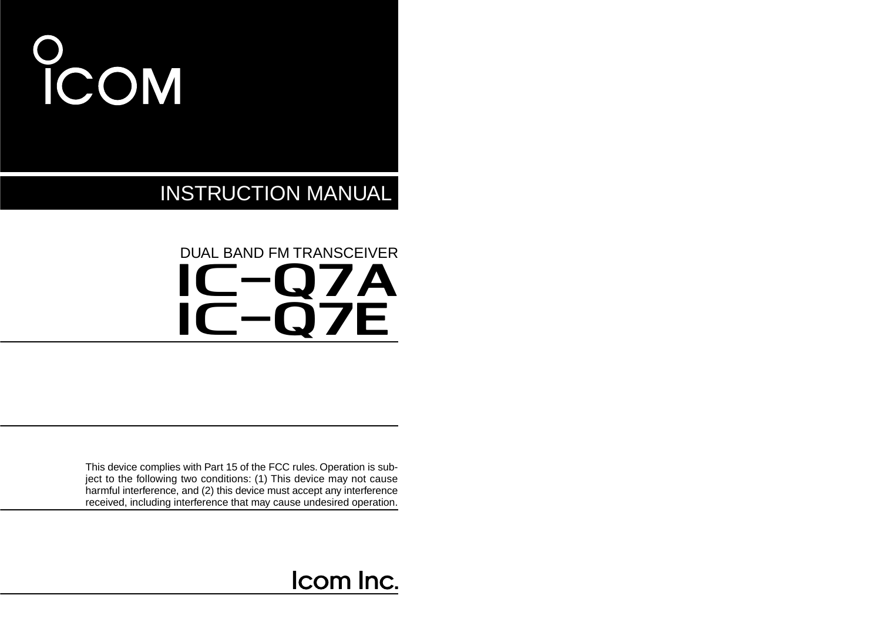# **COM**

INSTRUCTION MANUAL

### IC-Q7A IC-Q7E DUAL BAND FM TRANSCEIVER

This device complies with Part 15 of the FCC rules. Operation is subject to the following two conditions: (1) This device may not cause harmful interference, and (2) this device must accept any interference received, including interference that may cause undesired operation.

### Icom Inc.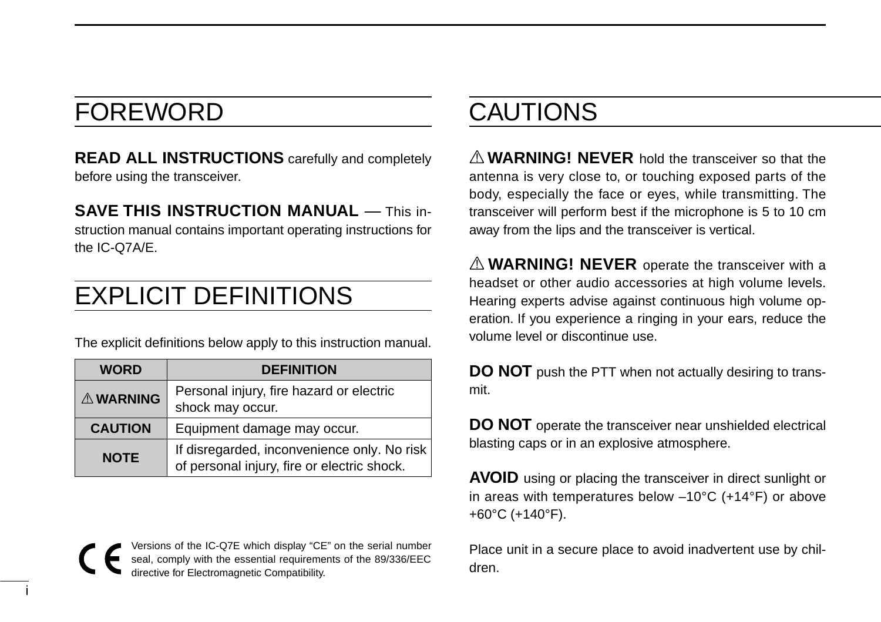### FOREWORD

**READ ALL INSTRUCTIONS** carefully and completely before using the transceiver.

**SAVE THIS INSTRUCTION MANUAL** — This instruction manual contains important operating instructions for the IC-Q7A/E.

### EXPLICIT DEFINITIONS

The explicit definitions below apply to this instruction manual.

| <b>WORD</b>     | <b>DEFINITION</b>                                                                          |
|-----------------|--------------------------------------------------------------------------------------------|
| <b>AWARNING</b> | Personal injury, fire hazard or electric<br>shock may occur.                               |
| <b>CAUTION</b>  | Equipment damage may occur.                                                                |
| <b>NOTE</b>     | If disregarded, inconvenience only. No risk<br>of personal injury, fire or electric shock. |

Versions of the IC-Q7E which display "CE" on the serial number seal, comply with the essential requirements of the 89/336/EEC directive for Electromagnetic Compatibility.

### CAUTIONS

A **WARNING! NEVER** hold the transceiver so that the antenna is very close to, or touching exposed parts of the body, especially the face or eyes, while transmitting. The transceiver will perform best if the microphone is 5 to 10 cm away from the lips and the transceiver is vertical.

 $\triangle$  **WARNING! NEVER** operate the transceiver with a headset or other audio accessories at high volume levels. Hearing experts advise against continuous high volume operation. If you experience a ringing in your ears, reduce the volume level or discontinue use.

**DO NOT** push the PTT when not actually desiring to transmit.

**DO NOT** operate the transceiver near unshielded electrical blasting caps or in an explosive atmosphere.

**AVOID** using or placing the transceiver in direct sunlight or in areas with temperatures below –10°C (+14°F) or above +60°C (+140°F).

Place unit in a secure place to avoid inadvertent use by children.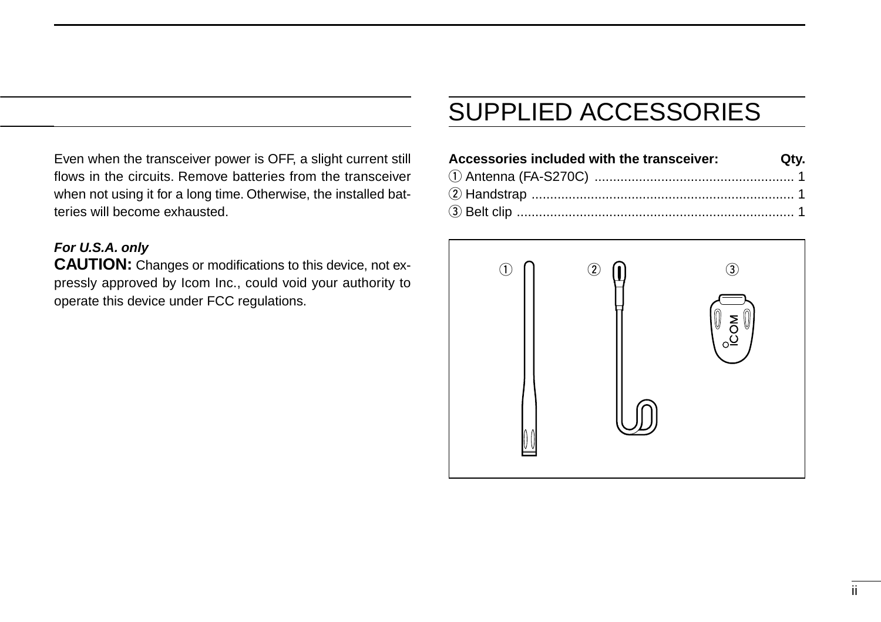Even when the transceiver power is OFF, a slight current still flows in the circuits. Remove batteries from the transceiver when not using it for a long time. Otherwise, the installed batteries will become exhausted.

#### **For U.S.A. only**

**CAUTION:** Changes or modifications to this device, not expressly approved by Icom Inc., could void your authority to operate this device under FCC regulations.

### SUPPLIED ACCESSORIES

| Accessories included with the transceiver: Qty. |  |
|-------------------------------------------------|--|
|                                                 |  |
|                                                 |  |
|                                                 |  |

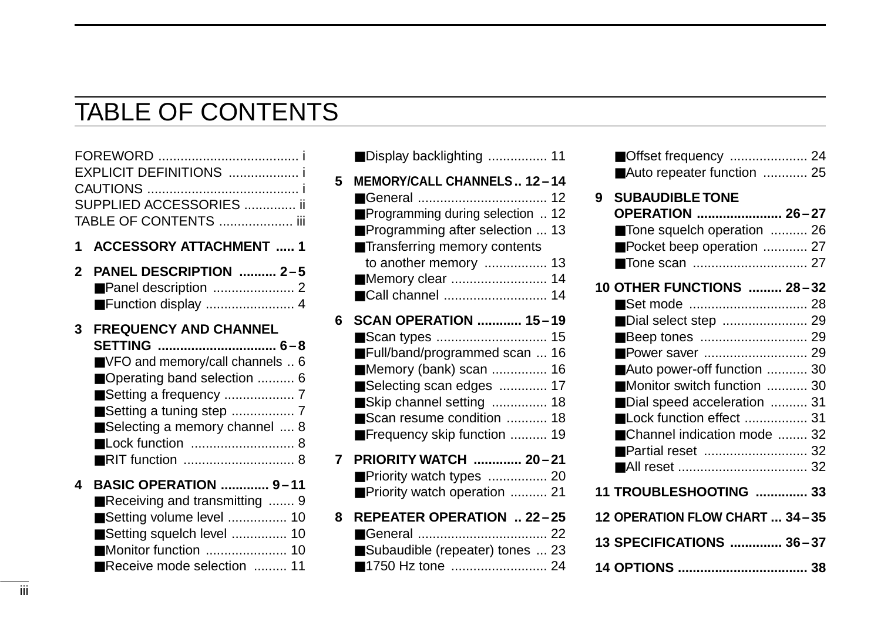### TABLE OF CONTENTS

|              | EXPLICIT DEFINITIONS  i<br>SUPPLIED ACCESSORIES  ii<br>TABLE OF CONTENTS  iii                                                                                                   |
|--------------|---------------------------------------------------------------------------------------------------------------------------------------------------------------------------------|
| 1            | <b>ACCESSORY ATTACHMENT  1</b>                                                                                                                                                  |
| $\mathbf{2}$ | PANEL DESCRIPTION  2-5<br>Function display  4                                                                                                                                   |
| 3            | <b>FREQUENCY AND CHANNEL</b><br>SETTING  6-8<br>VFO and memory/call channels  6<br>■ Operating band selection  6<br>■ Setting a tuning step  7<br>Selecting a memory channel  8 |
| 4            | <b>BASIC OPERATION  9-11</b><br>Receiving and transmitting  9<br>Setting volume level  10<br>Setting squelch level  10<br>Monitor function  10<br>Receive mode selection  11    |

|   | Display backlighting  11                                                                                                                                                                                      |  |
|---|---------------------------------------------------------------------------------------------------------------------------------------------------------------------------------------------------------------|--|
| 5 | MEMORY/CALL CHANNELS 12-14<br>Programming during selection  12<br>Programming after selection  13<br>Transferring memory contents<br>to another memory  13<br>Memory clear  14<br>■Call channel  14           |  |
| 6 | <b>SCAN OPERATION  15-19</b><br>Full/band/programmed scan  16<br>■ Memory (bank) scan  16<br>Selecting scan edges  17<br>Skip channel setting  18<br>Scan resume condition  18<br>Frequency skip function  19 |  |
| 7 | PRIORITY WATCH  20-21<br>Priority watch types  20<br>Priority watch operation  21                                                                                                                             |  |
| 8 | REPEATER OPERATION  22-25<br>Subaudible (repeater) tones  23<br>■1750 Hz tone  24                                                                                                                             |  |
|   |                                                                                                                                                                                                               |  |

|   | Offset frequency  24<br>Auto repeater function  25                                                                                                                                                                                 |  |
|---|------------------------------------------------------------------------------------------------------------------------------------------------------------------------------------------------------------------------------------|--|
| 9 | <b>SUBAUDIBLE TONE</b><br>OPERATION  26-27<br>Tone squelch operation  26<br>Pocket beep operation  27                                                                                                                              |  |
|   | 10 OTHER FUNCTIONS  28-32<br>Dial select step  29<br>Auto power-off function  30<br>Monitor switch function  30<br>Dial speed acceleration  31<br>Lock function effect  31<br>■ Channel indication mode  32<br>■ Partial reset  32 |  |
|   | 11 TROUBLESHOOTING  33                                                                                                                                                                                                             |  |
|   | 12 OPERATION FLOW CHART  34-35                                                                                                                                                                                                     |  |
|   | 13 SPECIFICATIONS  36-37                                                                                                                                                                                                           |  |
|   |                                                                                                                                                                                                                                    |  |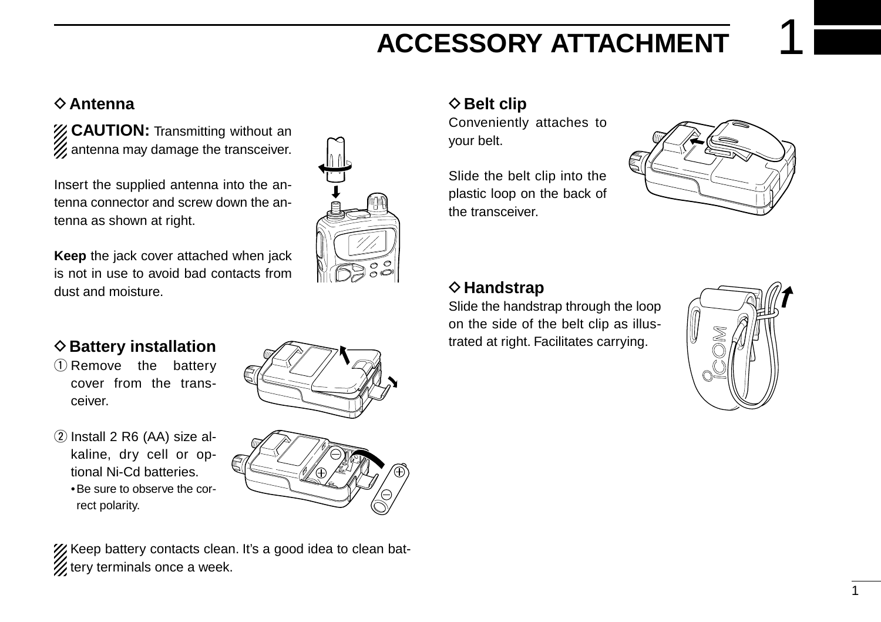### **ACCESSORY ATTACHMENT**

#### **⊘Antenna**

*Z* CAUTION: Transmitting without an  $\mathcal{U}$  antenna may damage the transceiver.

Insert the supplied antenna into the antenna connector and screw down the antenna as shown at right.

**Keep** the jack cover attached when jack is not in use to avoid bad contacts from dust and moisture.

### **♦ Battery installation**

- $(1)$  Remove the battery cover from the transceiver.
- $(2)$  Install 2 R6 (AA) size alkaline, dry cell or optional Ni-Cd batteries. •Be sure to observe the correct polarity.





XX Keep battery contacts clean. It's a good idea to clean battery terminals once a week.

#### $♦$  **Belt clip**

Conveniently attaches to your belt.

Slide the belt clip into the plastic loop on the back of the transceiver.



#### **◇ Handstrap**

Slide the handstrap through the loop on the side of the belt clip as illustrated at right. Facilitates carrying.

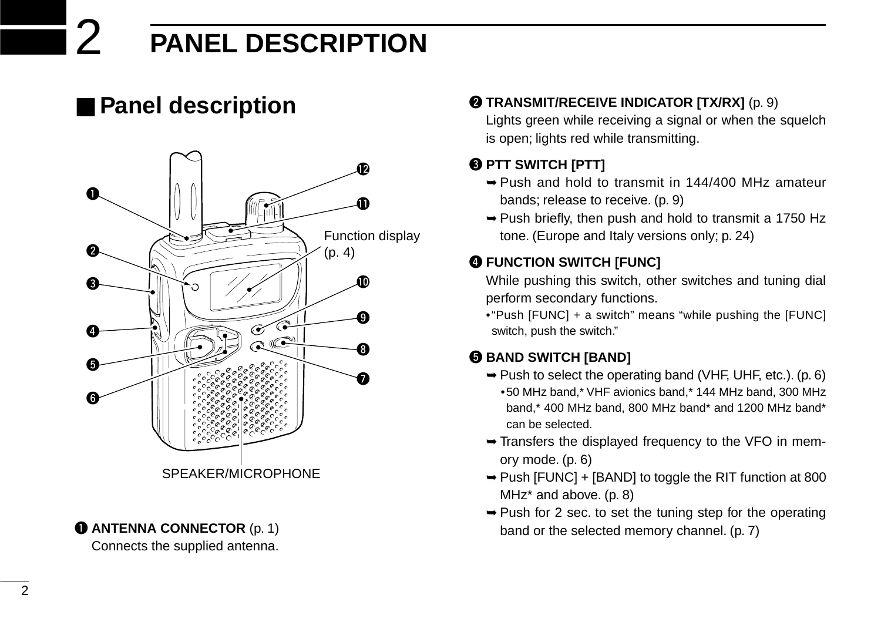# 2 **PANEL DESCRIPTION**

### ■ **Panel description**



### **Q ANTENNA CONNECTOR** (p. 1)

Connects the supplied antenna.

#### **@ TRANSMIT/RECEIVE INDICATOR [TX/RX]** (p. 9)

Lights green while receiving a signal or when the squelch is open; lights red while transmitting.

#### **@ PTT SWITCH [PTT]**

- ➥Push and hold to transmit in 144/400 MHz amateur bands; release to receive. (p. 9)
- ➥Push briefly, then push and hold to transmit a 1750 Hz tone. (Europe and Italy versions only; p. 24)

#### **@ FUNCTION SWITCH [FUNC]**

While pushing this switch, other switches and tuning dial perform secondary functions.

•"Push [FUNC] + a switch" means "while pushing the [FUNC] switch, push the switch."

#### **6 BAND SWITCH [BAND]**

- $\rightarrow$  Push to select the operating band (VHF, UHF, etc.). (p. 6)
	- •50 MHz band,\* VHF avionics band,\* 144 MHz band, 300 MHz band,\* 400 MHz band, 800 MHz band\* and 1200 MHz band\* can be selected.
- ➥Transfers the displayed frequency to the VFO in memory mode. (p. 6)
- ➥Push [FUNC] + [BAND] to toggle the RIT function at 800 MHz\* and above. (p. 8)
- $\rightarrow$  Push for 2 sec. to set the tuning step for the operating band or the selected memory channel. (p. 7)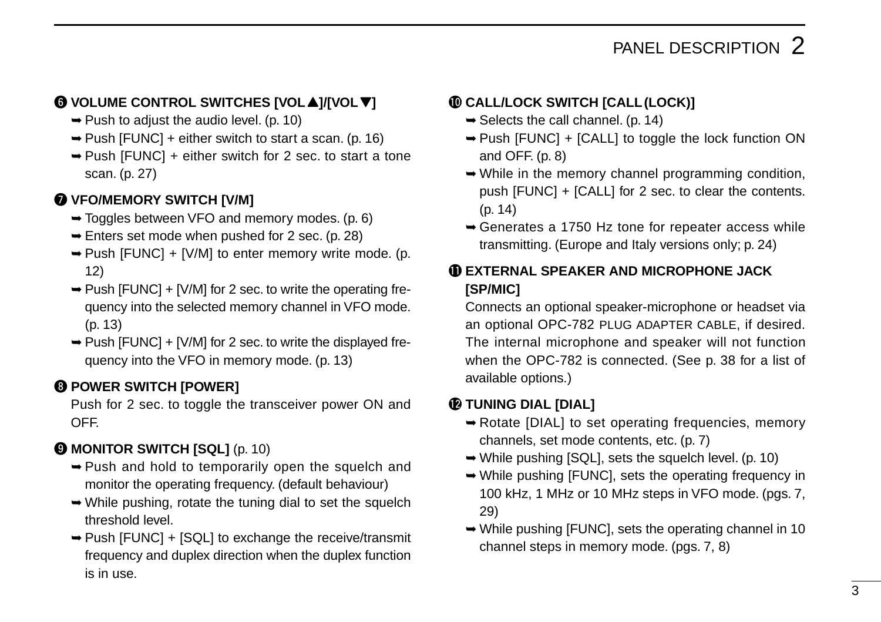### PANEL DESCRIPTION 2

#### **<b>◯** VOLUME CONTROL SWITCHES [VOL▲]/[VOL▼]

- $\rightarrow$  Push to adjust the audio level. (p. 10)
- $\rightarrow$  Push [FUNC] + either switch to start a scan. (p. 16)
- ➥Push [FUNC] + either switch for 2 sec. to start a tone scan. (p. 27)

#### **WIFO/MEMORY SWITCH [V/M]**

- ➥Toggles between VFO and memory modes. (p. 6)
- $\rightarrow$  Enters set mode when pushed for 2 sec. (p. 28)
- $\rightarrow$  Push [FUNC] + [V/M] to enter memory write mode. (p. 12)
- $\rightarrow$  Push [FUNC] + [V/M] for 2 sec. to write the operating frequency into the selected memory channel in VFO mode. (p. 13)
- $\rightarrow$  Push [FUNC] + [V/M] for 2 sec. to write the displayed frequency into the VFO in memory mode. (p. 13)

#### **@ POWER SWITCH [POWER]**

Push for 2 sec. to toggle the transceiver power ON and OFF.

#### **@ MONITOR SWITCH [SQL]** (p. 10)

- ➥Push and hold to temporarily open the squelch and monitor the operating frequency. (default behaviour)
- ➥While pushing, rotate the tuning dial to set the squelch threshold level.
- ➥Push [FUNC] + [SQL] to exchange the receive/transmit frequency and duplex direction when the duplex function is in use.

#### !0**CALL/LOCK SWITCH [CALL(LOCK)]**

- $\rightarrow$  Selects the call channel. (p. 14)
- ➥Push [FUNC] + [CALL] to toggle the lock function ON and OFF. (p. 8)
- ➥While in the memory channel programming condition, push [FUNC] + [CALL] for 2 sec. to clear the contents. (p. 14)
- ➥Generates a 1750 Hz tone for repeater access while transmitting. (Europe and Italy versions only; p. 24)

#### !1**EXTERNAL SPEAKER AND MICROPHONE JACK [SP/MIC]**

Connects an optional speaker-microphone or headset via an optional OPC-782 PLUG ADAPTER CABLE, if desired. The internal microphone and speaker will not function when the OPC-782 is connected. (See p. 38 for a list of available options.)

#### !2**TUNING DIAL [DIAL]**

- ➥Rotate [DIAL] to set operating frequencies, memory channels, set mode contents, etc. (p. 7)
- ➥While pushing [SQL], sets the squelch level. (p. 10)
- ➥While pushing [FUNC], sets the operating frequency in 100 kHz, 1 MHz or 10 MHz steps in VFO mode. (pgs. 7, 29)
- ➥While pushing [FUNC], sets the operating channel in 10 channel steps in memory mode. (pgs. 7, 8)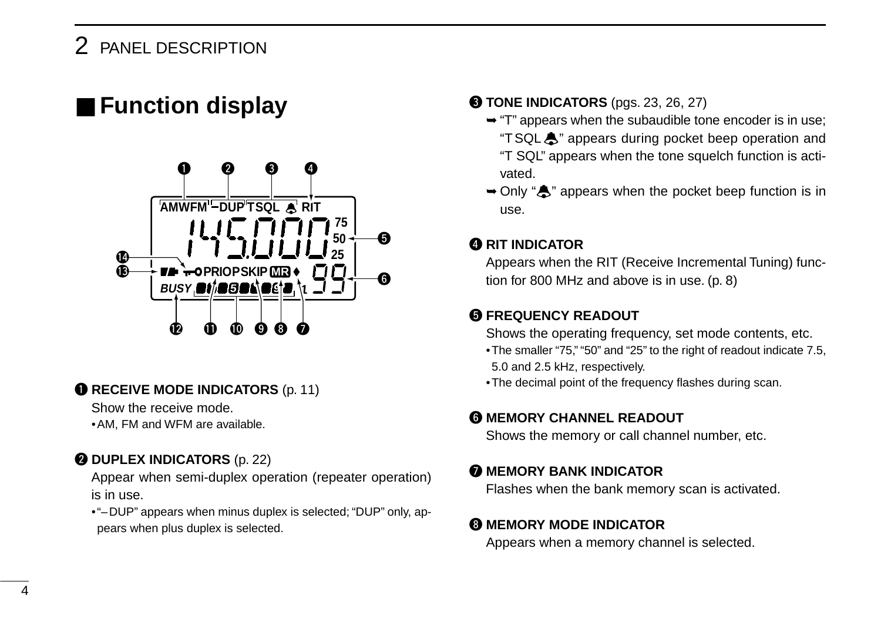### ■ **Function display**



#### **O** RECEIVE MODE INDICATORS (p. 11)

Show the receive mode.

•AM, FM and WFM are available.

#### **@ DUPLEX INDICATORS** (p. 22)

Appear when semi-duplex operation (repeater operation) is in use.

•"–DUP" appears when minus duplex is selected; "DUP" only, appears when plus duplex is selected.

#### **@ TONE INDICATORS** (pgs. 23, 26, 27)

- ➥"T" appears when the subaudible tone encoder is in use; "TSQLë" appears during pocket beep operation and "T SQL" appears when the tone squelch function is activated.
- $\rightarrow$  Only " $\clubsuit$ " appears when the pocket beep function is in use.

#### **@ RIT INDICATOR**

Appears when the RIT (Receive Incremental Tuning) function for 800 MHz and above is in use. (p. 8)

#### **6 FREQUENCY READOUT**

Shows the operating frequency, set mode contents, etc.

- •The smaller "75," "50" and "25" to the right of readout indicate 7.5, 5.0 and 2.5 kHz, respectively.
- •The decimal point of the frequency flashes during scan.

#### **@ MEMORY CHANNEL READOUT**

Shows the memory or call channel number, etc.

#### **MEMORY BANK INDICATOR**

Flashes when the bank memory scan is activated.

#### **@ MEMORY MODE INDICATOR**

Appears when a memory channel is selected.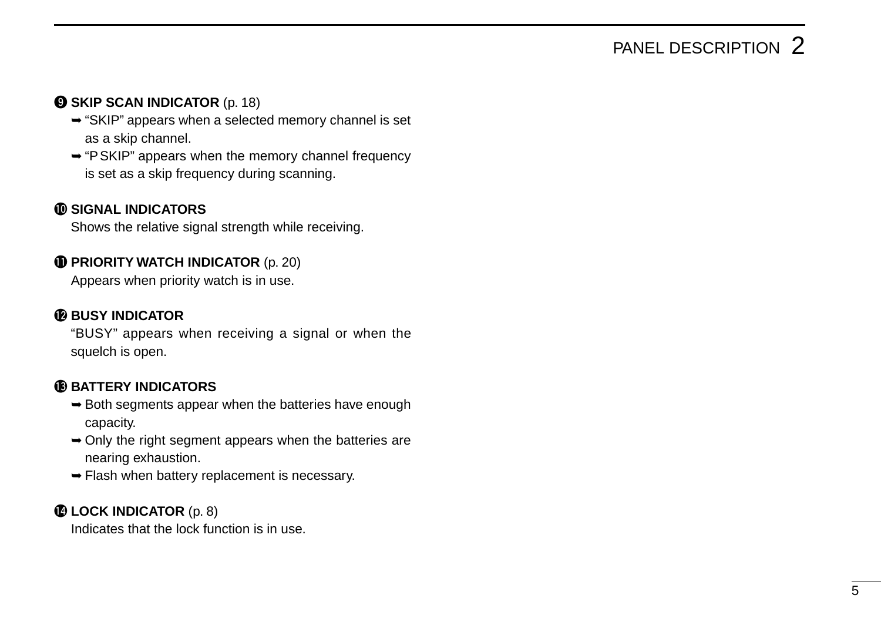### PANEL DESCRIPTION 2

#### **O SKIP SCAN INDICATOR** (p. 18)

- ➥"SKIP" appears when a selected memory channel is set as a skip channel.
- ➥"PSKIP" appears when the memory channel frequency is set as a skip frequency during scanning.

#### !0**SIGNAL INDICATORS**

Shows the relative signal strength while receiving.

#### **1** PRIORITY WATCH INDICATOR (p. 20)

Appears when priority watch is in use.

#### **12** BUSY INDICATOR

"BUSY" appears when receiving a signal or when the squelch is open.

#### **6BATTERY INDICATORS**

- $\rightarrow$  **Both segments appear when the batteries have enough** capacity.
- ➥Only the right segment appears when the batteries are nearing exhaustion.
- ➥Flash when battery replacement is necessary.

#### **1LOCK INDICATOR** (p. 8)

Indicates that the lock function is in use.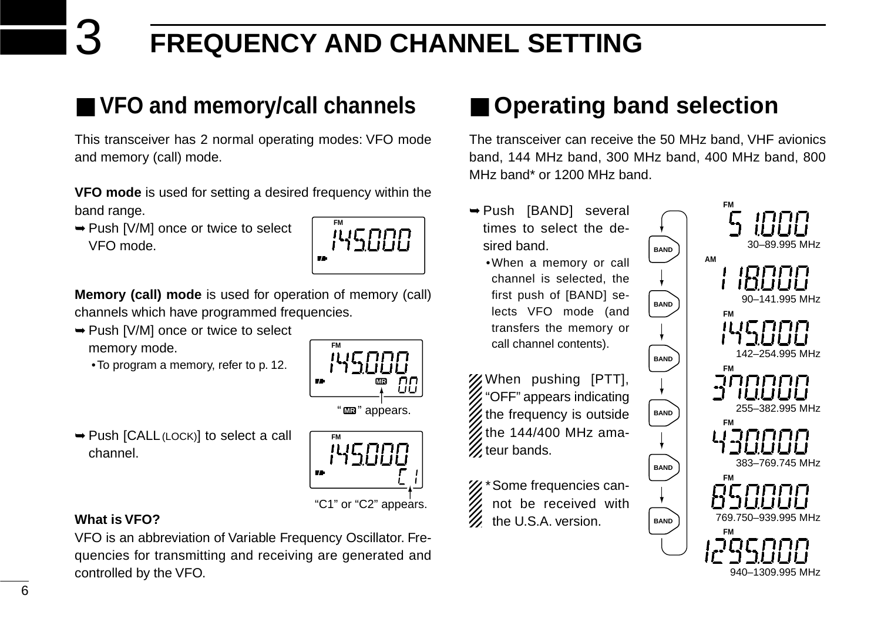# 3 **FREQUENCY AND CHANNEL SETTING**

### ■ **VFO and memory/call channels**

This transceiver has 2 normal operating modes: VFO mode and memory (call) mode.

**VFO mode** is used for setting a desired frequency within the band range.

➥Push [V/M] once or twice to select VFO mode.



**Memory (call) mode** is used for operation of memory (call) channels which have programmed frequencies.

➥Push [V/M] once or twice to select

memory mode.

•To program a memory, refer to p. 12.



**FM**

➥Push [CALL(LOCK)] to select a call channel.



#### **What is VFO?**

VFO is an abbreviation of Variable Frequency Oscillator. Frequencies for transmitting and receiving are generated and controlled by the VFO.

### ■ Operating band selection

The transceiver can receive the 50 MHz band, VHF avionics band, 144 MHz band, 300 MHz band, 400 MHz band, 800 MHz band\* or 1200 MHz band.

**BAND**

**BAND**

**BAND**

**BAND**

**BAND**

**BAND**

- ➥Push [BAND] several times to select the desired band.
	- •When a memory or call channel is selected, the first push of [BAND] selects VFO mode (and transfers the memory or call channel contents).

When pushing [PTT], "OFF" appears indicating the frequency is outside the 144/400 MHz ama- $\mathcal{U}$  teur bands.

%\* Some frequencies cannot be received with the U.S.A. version.

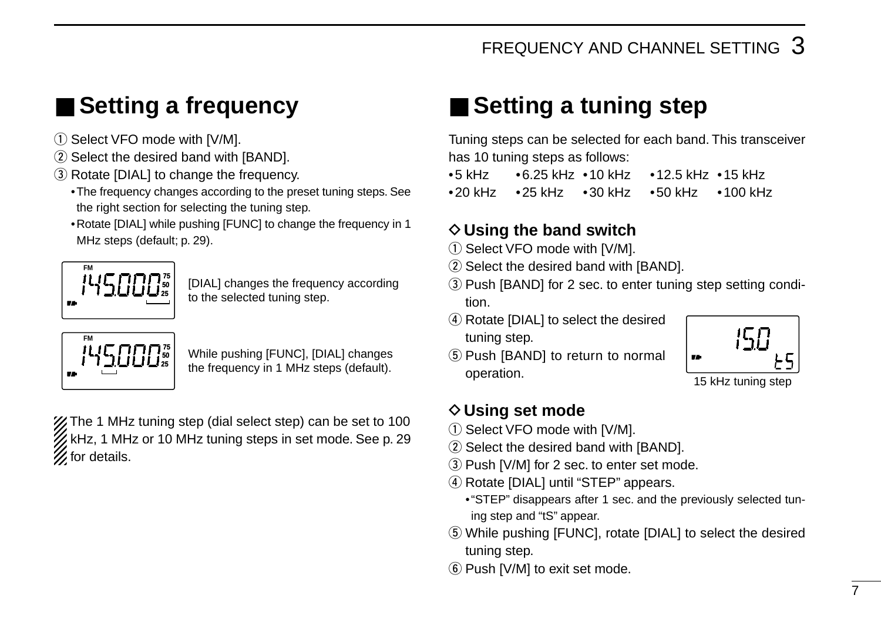### ■ **Setting a frequency**

- 1) Select VFO mode with [V/M].
- 2 Select the desired band with [BAND].
- 3) Rotate [DIAL] to change the frequency.
	- •The frequency changes according to the preset tuning steps. See the right section for selecting the tuning step.
	- •Rotate [DIAL] while pushing [FUNC] to change the frequency in 1 MHz steps (default; p. 29).



[DIAL] changes the frequency according to the selected tuning step.



While pushing [FUNC], [DIAL] changes the frequency in 1 MHz steps (default).

**Z** The 1 MHz tuning step (dial select step) can be set to 100 KHz, 1 MHz or 10 MHz tuning steps in set mode. See p. 29  $%$  for details.

### ■ Setting a tuning step

Tuning steps can be selected for each band. This transceiver has 10 tuning steps as follows:

•5 kHz •6.25 kHz •10 kHz •12.5 kHz •15 kHz •20 kHz •25 kHz •30 kHz •50 kHz •100 kHz

#### $\diamond$  Using the band switch

- $(i)$  Select VFO mode with [V/M].
- $(2)$  Select the desired band with [BAND].
- (3) Push [BAND] for 2 sec. to enter tuning step setting condition.
- (4) Rotate [DIAL] to select the desired tuning step.
- (5) Push [BAND] to return to normal operation.

#### **◇ Using set mode**

- $\circled{1}$  Select VFO mode with [V/M].
- 2 Select the desired band with [BAND].
- 3) Push [V/M] for 2 sec. to enter set mode.
- 4) Rotate [DIAL] until "STEP" appears.
	- •"STEP" disappears after 1 sec. and the previously selected tuning step and "tS" appear.
- (5) While pushing [FUNC], rotate [DIAL] to select the desired tuning step.
- $(6)$  Push [V/M] to exit set mode.



15 kHz tuning step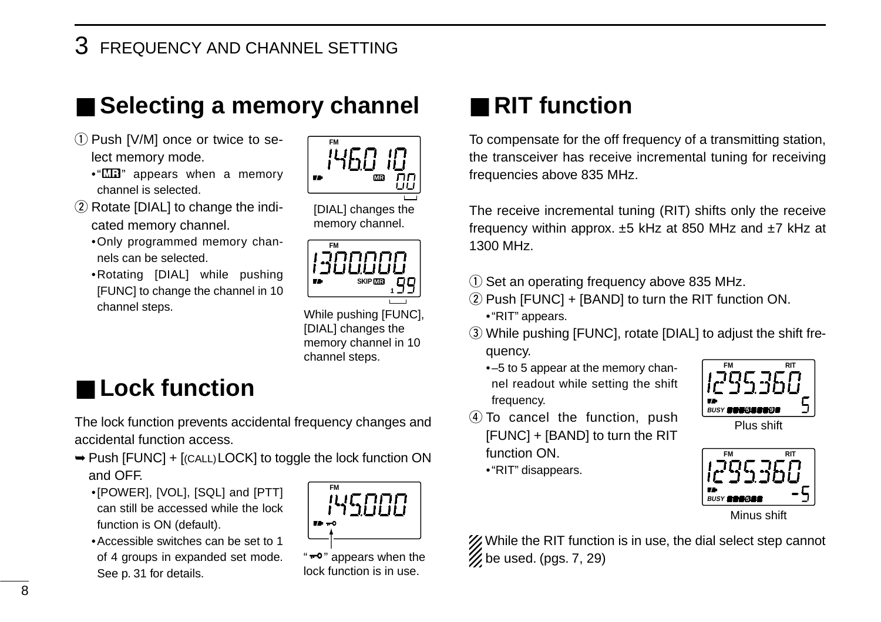### 3 FREQUENCY AND CHANNEL SETTING

### ■ Selecting a memory channel

- 1) Push [V/M] once or twice to select memory mode.
	- $\cdot$ " $\Box$  appears when a memory channel is selected.
- $(2)$  Rotate [DIAL] to change the indicated memory channel.
	- •Only programmed memory channels can be selected.
	- •Rotating [DIAL] while pushing [FUNC] to change the channel in 10 channel steps.



[DIAL] changes the memory channel.



While pushing [FUNC], [DIAL] changes the memory channel in 10 channel steps.

### ■ **Lock function**

The lock function prevents accidental frequency changes and accidental function access.

- ➥Push [FUNC] + [(CALL)LOCK] to toggle the lock function ON and OFF.
	- •[POWER], [VOL], [SQL] and [PTT] can still be accessed while the lock function is ON (default).
	- •Accessible switches can be set to 1 of 4 groups in expanded set mode. See p. 31 for details.



"<sup>"</sup> appears when the lock function is in use.

### ■ **RIT** function

To compensate for the off frequency of a transmitting station, the transceiver has receive incremental tuning for receiving frequencies above 835 MHz.

The receive incremental tuning (RIT) shifts only the receive frequency within approx. ±5 kHz at 850 MHz and ±7 kHz at 1300 MHz.

- $Q$  Set an operating frequency above 835 MHz.
- $(2)$  Push [FUNC] + [BAND] to turn the RIT function ON. •"RIT" appears.
- e While pushing [FUNC], rotate [DIAL] to adjust the shift frequency.
	- •–5 to 5 appear at the memory channel readout while setting the shift frequency.



- $\overline{a}$  To cancel the function, push [FUNC] + [BAND] to turn the RIT function ON.
	- •"RIT" disappears.



Minus shift

X While the RIT function is in use, the dial select step cannot  $\%$  be used. (pgs. 7, 29)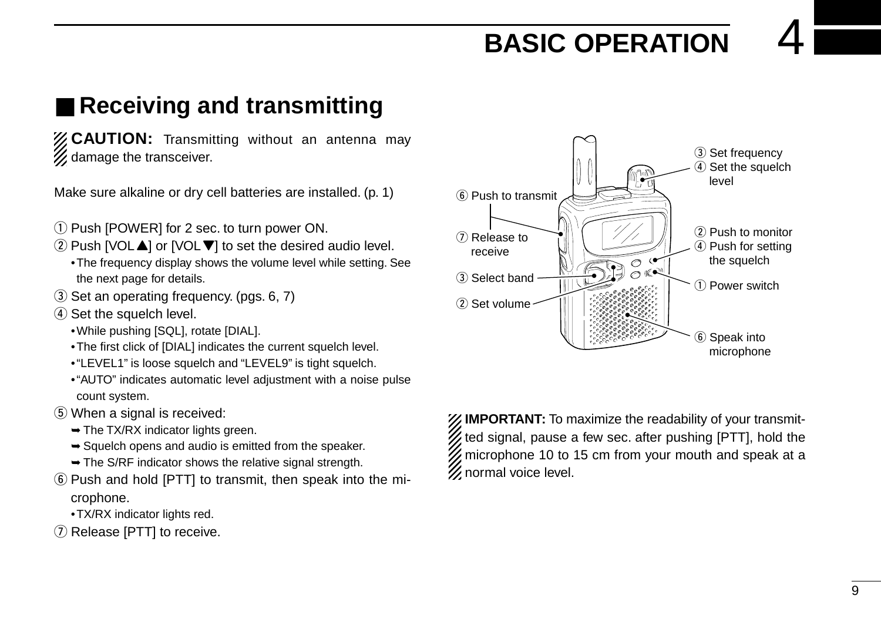## **BASIC OPERATION**

### ■ **Receiving and transmitting**

**ZZ CAUTION:** Transmitting without an antenna may % damage the transceiver.

Make sure alkaline or dry cell batteries are installed. (p. 1)

- q Push [POWER] for 2 sec. to turn power ON.
- $\Omega$  Push [VOL $\triangle$ ] or [VOL $\nabla$ ] to set the desired audio level.
	- •The frequency display shows the volume level while setting. See the next page for details.
- 3) Set an operating frequency. (pgs. 6, 7)
- $\overline{a}$  Set the squelch level.
	- •While pushing [SQL], rotate [DIAL].
	- •The first click of [DIAL] indicates the current squelch level.
	- •"LEVEL1" is loose squelch and "LEVEL9" is tight squelch.
	- •"AUTO" indicates automatic level adjustment with a noise pulse count system.
- (5) When a signal is received:
	- $\rightarrow$  The TX/RX indicator lights green.
	- $\rightarrow$  Squelch opens and audio is emitted from the speaker.
	- ➥The S/RF indicator shows the relative signal strength.
- $\circ$  Push and hold [PTT] to transmit, then speak into the microphone.
	- •TX/RX indicator lights red.
- $\Omega$  Release [PTT] to receive.

**IMPORTANT:** To maximize the readability of your transmitted signal, pause a few sec. after pushing  $[PTT]$ , hold the  $\mathcal{\mathscr{U}}$  microphone 10 to 15 cm from your mouth and speak at a  $\mathscr U$  normal voice level.

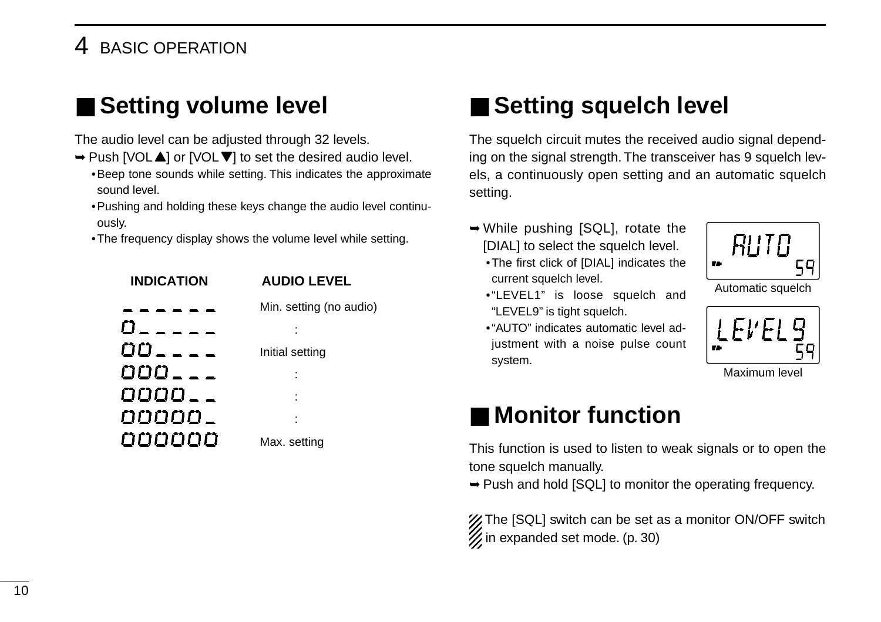### **BASIC OPERATION**

### ■ Setting volume level

The audio level can be adjusted through 32 levels.

- ➥Push [VOLY] or [VOLZ] to set the desired audio level.
	- •Beep tone sounds while setting. This indicates the approximate sound level.
	- •Pushing and holding these keys change the audio level continuously.
	- •The frequency display shows the volume level while setting.



### ■ Setting squelch level

The squelch circuit mutes the received audio signal depending on the signal strength. The transceiver has 9 squelch levels, a continuously open setting and an automatic squelch setting.

- ➥While pushing [SQL], rotate the [DIAL] to select the squelch level.
	- •The first click of [DIAL] indicates the current squelch level.



Automatic squelch

- •"LEVEL1" is loose squelch and "LEVEL9" is tight squelch.
- •"AUTO" indicates automatic level adjustment with a noise pulse count system.



Maximum level

### ■ Monitor function

This function is used to listen to weak signals or to open the tone squelch manually.

➥Push and hold [SQL] to monitor the operating frequency.

X The [SQL] switch can be set as a monitor ON/OFF switch  $\mathscr{U}$  in expanded set mode. (p. 30)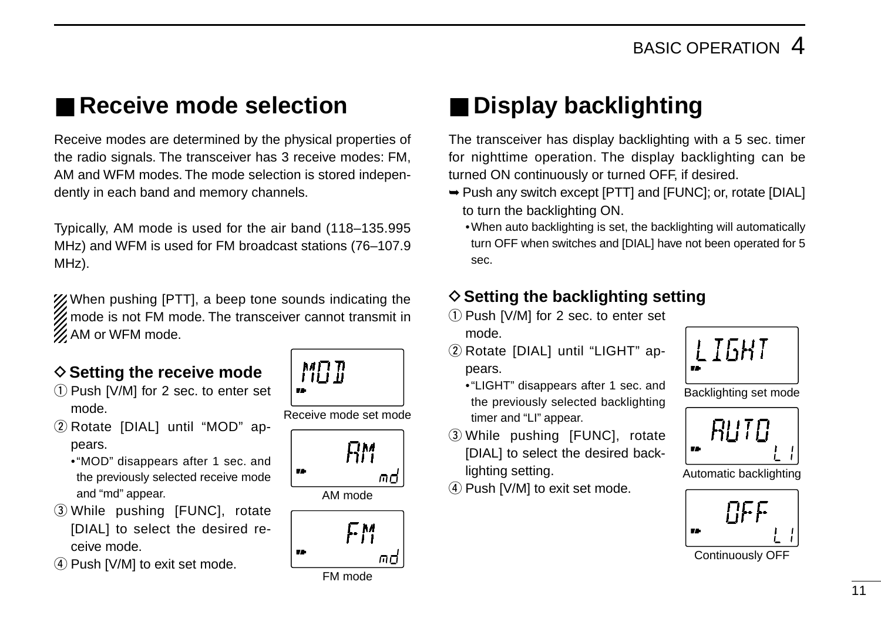### ■ **Receive mode selection**

Receive modes are determined by the physical properties of the radio signals. The transceiver has 3 receive modes: FM, AM and WFM modes. The mode selection is stored independently in each band and memory channels.

Typically, AM mode is used for the air band (118–135.995 MHz) and WFM is used for FM broadcast stations (76–107.9 MHz).

X/When pushing [PTT], a beep tone sounds indicating the **Z** mode is not FM mode. The transceiver cannot transmit in  $\mathcal{U}$  AM or WFM mode.

#### **♦ Setting the receive mode**

- $(1)$  Push [V/M] for 2 sec. to enter set mode.
- (2) Rotate [DIAL] until "MOD" appears.
	- •"MOD" disappears after 1 sec. and the previously selected receive mode and "md" appear.
- e While pushing [FUNC], rotate [DIAL] to select the desired receive mode.
- $\widehat{a}$ ) Push [V/M] to exit set mode.

MA T Receive mode set mode



AM mode



### ■ **Display backlighting**

The transceiver has display backlighting with a 5 sec. timer for nighttime operation. The display backlighting can be turned ON continuously or turned OFF, if desired.

- ➥Push any switch except [PTT] and [FUNC]; or, rotate [DIAL] to turn the backlighting ON.
	- •When auto backlighting is set, the backlighting will automatically turn OFF when switches and [DIAL] have not been operated for 5 sec.

#### $\diamond$  Setting the backlighting setting

- $(i)$  Push [V/M] for 2 sec. to enter set mode.
- (2) Rotate [DIAL] until "LIGHT" appears.
	- •"LIGHT" disappears after 1 sec. and the previously selected backlighting timer and "LI" appear.
- 3) While pushing [FUNC], rotate [DIAL] to select the desired backlighting setting.
- $\overline{4}$  Push [V/M] to exit set mode.



Backlighting set mode



Automatic backlighting



Continuously OFF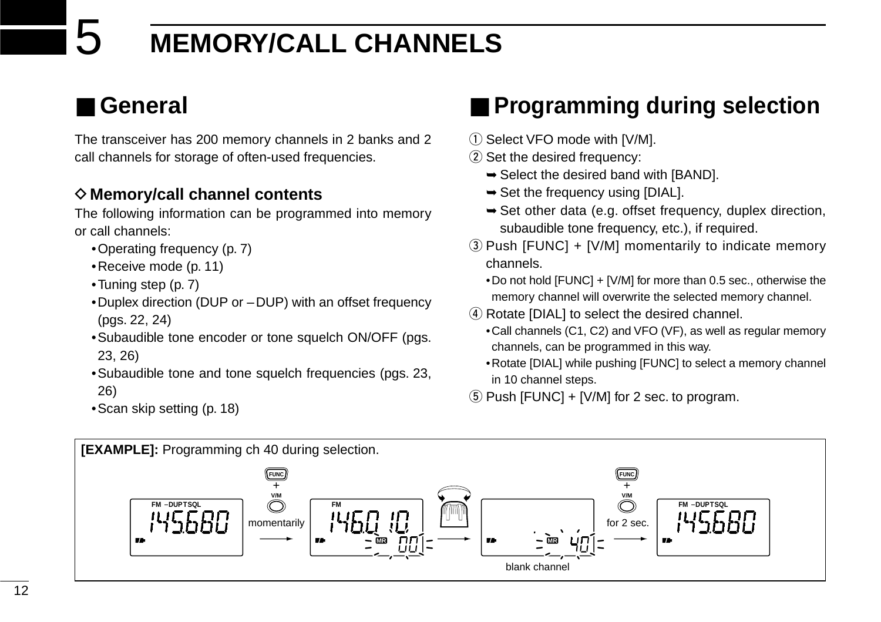# 5 **MEMORY/CALL CHANNELS**

### ■ **General**

The transceiver has 200 memory channels in 2 banks and 2 call channels for storage of often-used frequencies.

#### **◇ Memory/call channel contents**

The following information can be programmed into memory or call channels:

- •Operating frequency (p. 7)
- •Receive mode (p. 11)
- •Tuning step (p. 7)
- •Duplex direction (DUP or –DUP) with an offset frequency (pgs. 22, 24)
- •Subaudible tone encoder or tone squelch ON/OFF (pgs. 23, 26)
- •Subaudible tone and tone squelch frequencies (pgs. 23, 26)
- •Scan skip setting (p. 18)

### ■ **Programming during selection**

- 1) Select VFO mode with [V/M].
- $(2)$  Set the desired frequency:
	- $\rightarrow$  **Select the desired band with [BAND].**
	- $\rightarrow$  **Set the frequency using [DIAL].**
	- ➥Set other data (e.g. offset frequency, duplex direction, subaudible tone frequency, etc.), if required.
- $\Omega$  Push [FUNC] + [V/M] momentarily to indicate memory channels.

•Do not hold [FUNC] + [V/M] for more than 0.5 sec., otherwise the memory channel will overwrite the selected memory channel.

- (4) Rotate [DIAL] to select the desired channel.
	- •Call channels (C1, C2) and VFO (VF), as well as regular memory channels, can be programmed in this way.
	- •Rotate [DIAL] while pushing [FUNC] to select a memory channel in 10 channel steps.
- $5$  Push [FUNC] + [V/M] for 2 sec. to program.

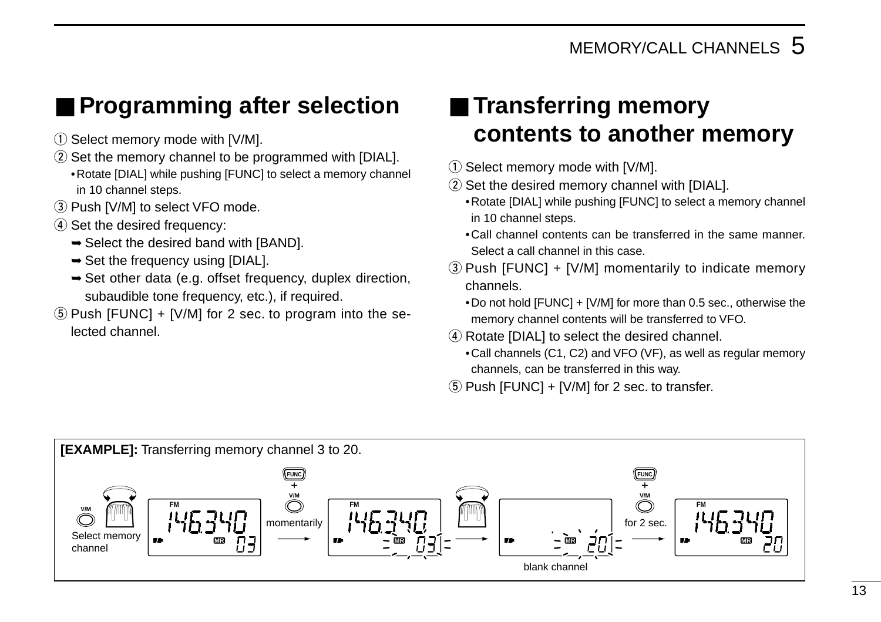### ■ **Programming after selection**

- $\circled{1}$  Select memory mode with [V/M].
- 2 Set the memory channel to be programmed with [DIAL]. •Rotate [DIAL] while pushing [FUNC] to select a memory channel in 10 channel steps.
- 3 Push [V/M] to select VFO mode.
- 4) Set the desired frequency:
	- $\rightarrow$  **Select the desired band with [BAND].**
	- $\rightarrow$  Set the frequency using [DIAL].
	- ➥Set other data (e.g. offset frequency, duplex direction, subaudible tone frequency, etc.), if required.
- $5$  Push [FUNC] + [V/M] for 2 sec. to program into the selected channel.

### ■ **Transferring memory contents to another memory**

- $\circ$  Select memory mode with [V/M].
- 2 Set the desired memory channel with [DIAL].
	- •Rotate [DIAL] while pushing [FUNC] to select a memory channel in 10 channel steps.
	- •Call channel contents can be transferred in the same manner. Select a call channel in this case.
- $(3)$  Push [FUNC] + [V/M] momentarily to indicate memory channels.
	- •Do not hold [FUNC] + [V/M] for more than 0.5 sec., otherwise the memory channel contents will be transferred to VFO.
- (4) Rotate [DIAL] to select the desired channel.
	- •Call channels (C1, C2) and VFO (VF), as well as regular memory channels, can be transferred in this way.
- $(5)$  Push [FUNC] + [V/M] for 2 sec. to transfer.

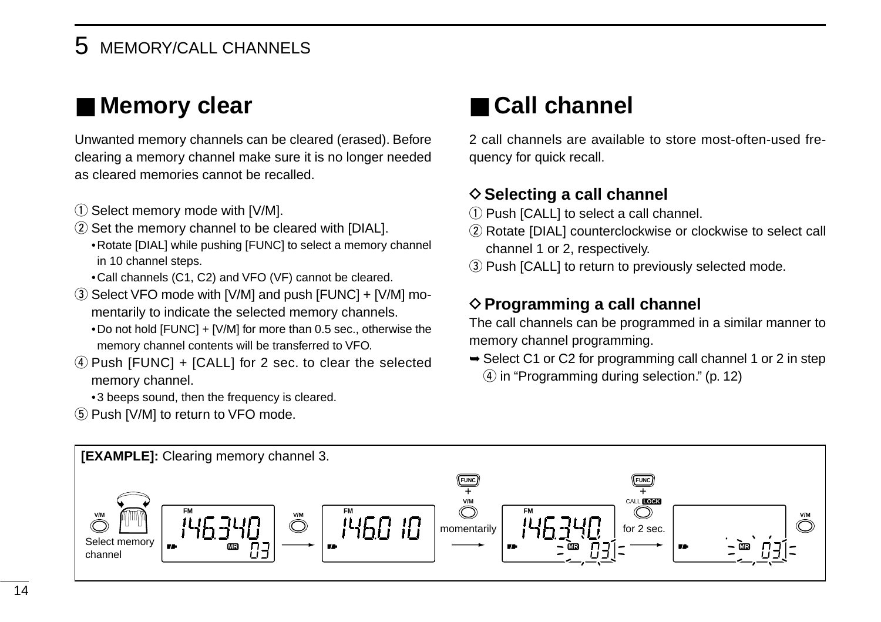### 5 MEMORY/CALL CHANNELS

### ■ **Memory clear**

Unwanted memory channels can be cleared (erased). Before clearing a memory channel make sure it is no longer needed as cleared memories cannot be recalled.

- 1) Select memory mode with [V/M].
- $(2)$  Set the memory channel to be cleared with [DIAL]. •Rotate [DIAL] while pushing [FUNC] to select a memory channel in 10 channel steps.
	- •Call channels (C1, C2) and VFO (VF) cannot be cleared.
- $\circ$  Select VFO mode with [V/M] and push [FUNC] + [V/M] momentarily to indicate the selected memory channels. •Do not hold [FUNC] + [V/M] for more than 0.5 sec., otherwise the memory channel contents will be transferred to VFO.
- $\Phi$  Push [FUNC] + [CALL] for 2 sec. to clear the selected memory channel.

•3 beeps sound, then the frequency is cleared.

(5) Push [V/M] to return to VFO mode.

### ■ **Call channel**

2 call channels are available to store most-often-used frequency for quick recall.

#### **♦ Selecting a call channel**

- $(1)$  Push  $ICALL$ ] to select a call channel.
- (2) Rotate [DIAL] counterclockwise or clockwise to select call channel 1 or 2, respectively.
- (3) Push [CALL] to return to previously selected mode.

#### **♦ Programming a call channel**

The call channels can be programmed in a similar manner to memory channel programming.

 $\rightarrow$  **Select C1 or C2 for programming call channel 1 or 2 in step**  $\overline{a}$  in "Programming during selection." (p. 12)

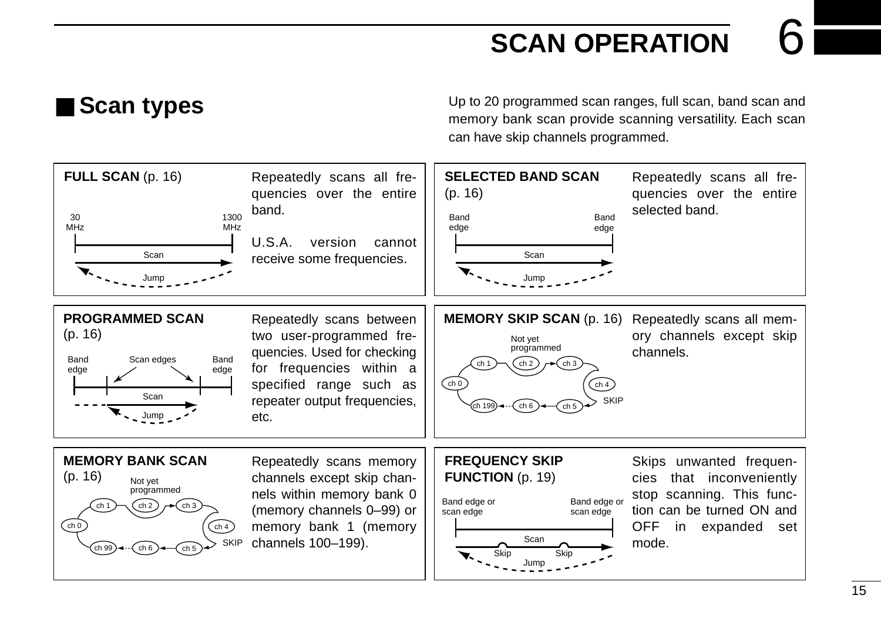### **SCAN OPERATION**

■ **Scan types** Up to 20 programmed scan ranges, full scan, band scan and memory bank scan provide scanning versatility. Each scan can have skip channels programmed.

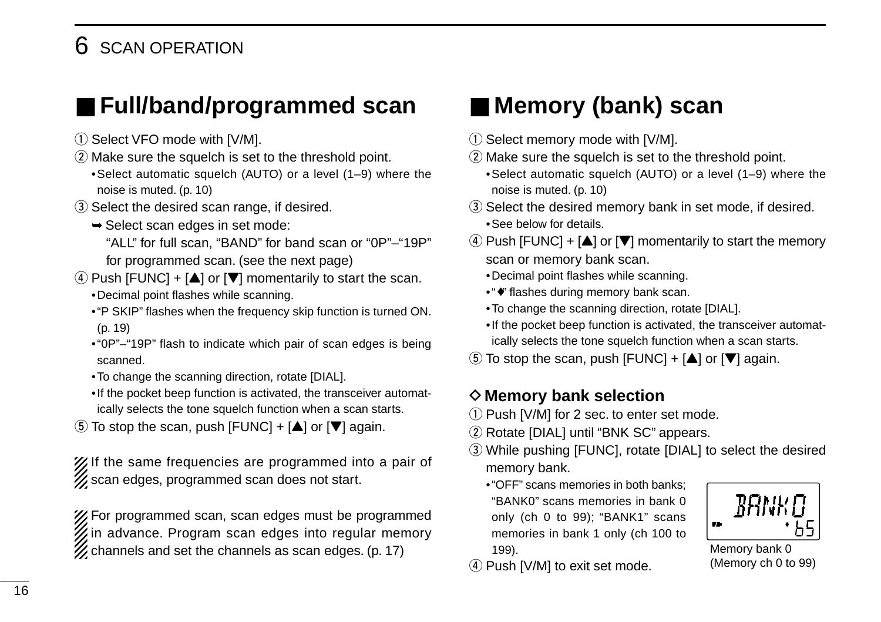### 6 SCAN OPERATION

### ■ **Full/band/programmed scan**

- 1) Select VFO mode with [V/M].
- $(2)$  Make sure the squelch is set to the threshold point.
- •Select automatic squelch (AUTO) or a level (1–9) where the noise is muted. (p. 10)
- 3) Select the desired scan range, if desired.
	- ➥Select scan edges in set mode: "ALL" for full scan, "BAND" for band scan or "0P"–"19P" for programmed scan. (see the next page)
- $\Phi$  Push [FUNC] + [ $\triangle$ ] or [ $\nabla$ ] momentarily to start the scan. •Decimal point flashes while scanning.
	- •"P SKIP" flashes when the frequency skip function is turned ON. (p. 19)
	- •"0P"–"19P" flash to indicate which pair of scan edges is being scanned.
	- •To change the scanning direction, rotate [DIAL].
	- •If the pocket beep function is activated, the transceiver automatically selects the tone squelch function when a scan starts.
- $\ddot{\textbf{t}}$  To stop the scan, push [FUNC] + [ $\triangle$ ] or [ $\nabla$ ] again.

XIIf the same frequencies are programmed into a pair of  $\mathscr{U}$  scan edges, programmed scan does not start.

For programmed scan, scan edges must be programmed  $\mathscr W$  in advance. Program scan edges into regular memory  $\mathscr{U}$  channels and set the channels as scan edges. (p. 17)

### ■ Memory (bank) scan

- $\circled{1}$  Select memory mode with [V/M].
- 2 Make sure the squelch is set to the threshold point.

•Select automatic squelch (AUTO) or a level (1–9) where the noise is muted. (p. 10)

- 3) Select the desired memory bank in set mode, if desired. •See below for details.
- $(4)$  Push [FUNC] + [ $\triangle$ ] or [ $\Pi$ ] momentarily to start the memory scan or memory bank scan.
	- •Decimal point flashes while scanning.
	- •"♦" flashes during memory bank scan.
	- •To change the scanning direction, rotate [DIAL].
	- •If the pocket beep function is activated, the transceiver automatically selects the tone squelch function when a scan starts.
- $\circled{5}$  To stop the scan, push [FUNC] + [ $\triangle$ ] or [ $\nabla$ ] again.

#### **◇ Memory bank selection**

- $\Omega$  Push [V/M] for 2 sec. to enter set mode.
- 2 Rotate [DIAL] until "BNK SC" appears.
- 3) While pushing [FUNC], rotate [DIAL] to select the desired memory bank.
	- •"OFF" scans memories in both banks; "BANK0" scans memories in bank 0 only (ch 0 to 99); "BANK1" scans memories in bank 1 only (ch 100 to 199).



(Memory ch 0 to 99)

4) Push [V/M] to exit set mode.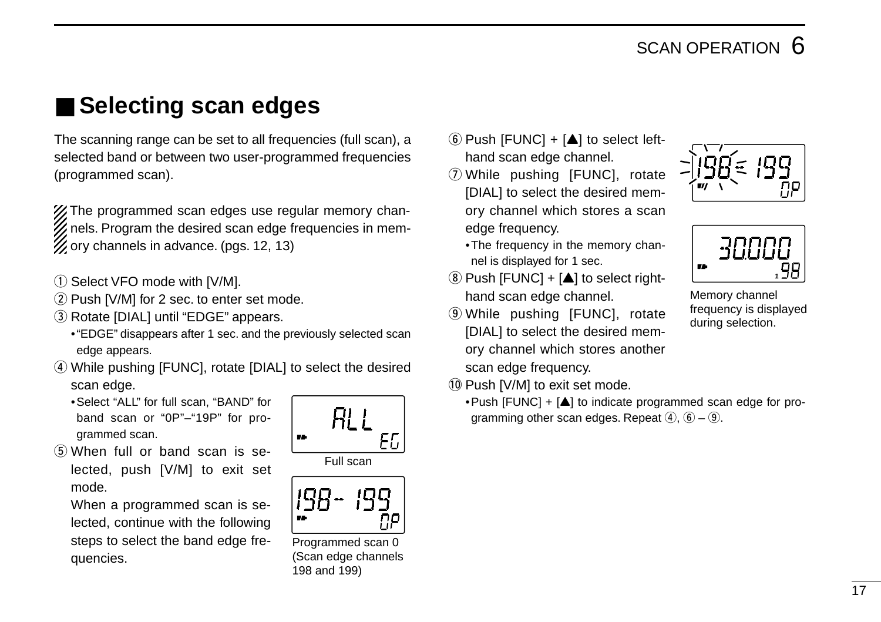### ■ Selecting scan edges

The scanning range can be set to all frequencies (full scan), a selected band or between two user-programmed frequencies (programmed scan).

**%The programmed scan edges use regular memory chan-** $\mathbb Z$  nels. Program the desired scan edge frequencies in mem-X ory channels in advance. (pgs. 12, 13)

- 1) Select VFO mode with [V/M].
- 2 Push [V/M] for 2 sec. to enter set mode.
- 3) Rotate [DIAL] until "EDGE" appears.
	- •"EDGE" disappears after 1 sec. and the previously selected scan edge appears.
- 4) While pushing [FUNC], rotate [DIAL] to select the desired scan edge.
	- •Select "ALL" for full scan, "BAND" for band scan or "0P"–"19P" for programmed scan.
- (5) When full or band scan is selected, push [V/M] to exit set mode.

When a programmed scan is selected, continue with the following steps to select the band edge frequencies.







Programmed scan 0 (Scan edge channels 198 and 199)

- $\circled{6}$  Push [FUNC] + [ $\triangle$ ] to select lefthand scan edge channel.
- $\oslash$  While pushing [FUNC], rotate [DIAL] to select the desired memory channel which stores a scan edge frequency.
	- •The frequency in the memory channel is displayed for 1 sec.
- $\circledR$  Push [FUNC] + [ $\triangle$ ] to select righthand scan edge channel.
- o While pushing [FUNC], rotate [DIAL] to select the desired memory channel which stores another scan edge frequency.
- 10 Push [V/M] to exit set mode.
	- Push [FUNC] +  $[$ **A**] to indicate programmed scan edge for programming other scan edges. Repeat  $\overline{4}$ ,  $\overline{6}$  –  $\overline{9}$ .





Memory channel frequency is displayed during selection.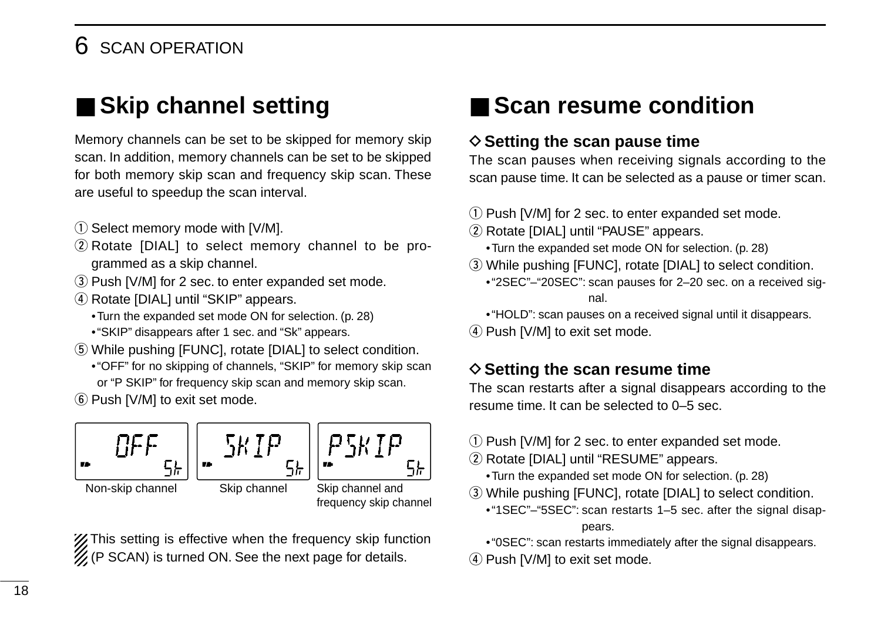### **SCAN OPERATION**

### ■ **Skip channel setting**

Memory channels can be set to be skipped for memory skip scan. In addition, memory channels can be set to be skipped for both memory skip scan and frequency skip scan. These are useful to speedup the scan interval.

- 1) Select memory mode with [V/M].
- $(2)$  Rotate [DIAL] to select memory channel to be programmed as a skip channel.
- 3) Push [V/M] for 2 sec. to enter expanded set mode.
- (4) Rotate [DIAL] until "SKIP" appears.
	- •Turn the expanded set mode ON for selection. (p. 28)
	- •"SKIP" disappears after 1 sec. and "Sk" appears.
- **5** While pushing [FUNC], rotate [DIAL] to select condition.
	- •"OFF" for no skipping of channels, "SKIP" for memory skip scan or "P SKIP" for frequency skip scan and memory skip scan.
- y Push [V/M] to exit set mode.



**Z** This setting is effective when the frequency skip function  $\mathcal{U}$  (P SCAN) is turned ON. See the next page for details.

### ■ **Scan resume condition**

#### **♦ Setting the scan pause time**

The scan pauses when receiving signals according to the scan pause time. It can be selected as a pause or timer scan.

- $(1)$  Push [V/M] for 2 sec. to enter expanded set mode.
- (2) Rotate [DIAL] until "PAUSE" appears.
	- •Turn the expanded set mode ON for selection. (p. 28)
- e While pushing [FUNC], rotate [DIAL] to select condition.
	- •"2SEC"–"20SEC": scan pauses for 2–20 sec. on a received signal.
	- •"HOLD": scan pauses on a received signal until it disappears.
- 4) Push [V/M] to exit set mode.

#### **♦ Setting the scan resume time**

The scan restarts after a signal disappears according to the resume time. It can be selected to 0–5 sec.

- $\Omega$  Push [V/M] for 2 sec. to enter expanded set mode.
- 2 Rotate [DIAL] until "RESUME" appears.
	- •Turn the expanded set mode ON for selection. (p. 28)
- e While pushing [FUNC], rotate [DIAL] to select condition.
	- •"1SEC"–"5SEC": scan restarts 1–5 sec. after the signal disappears.
- •"0SEC": scan restarts immediately after the signal disappears.
- $\overline{4}$  Push [V/M] to exit set mode.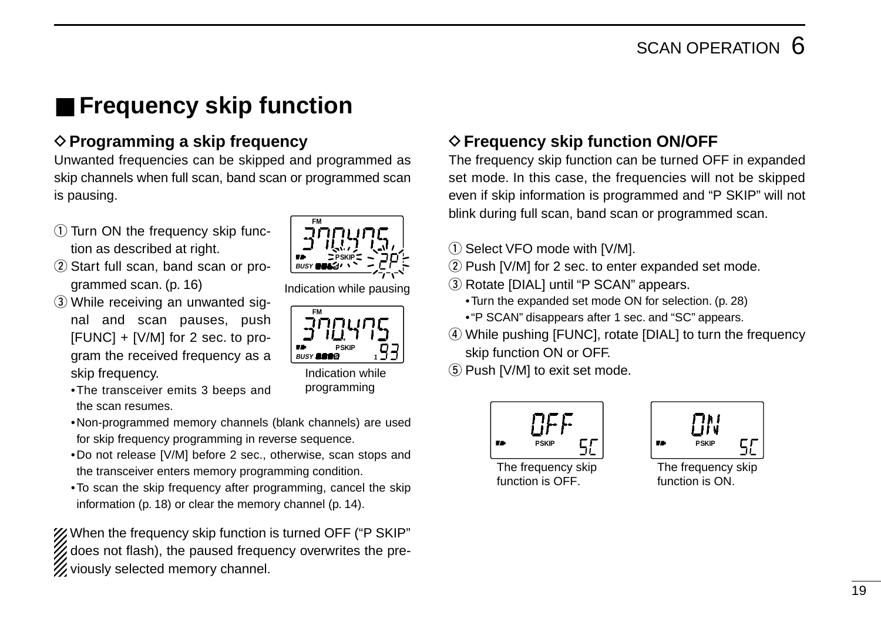### ■ **Frequency skip function**

### **♦ Programming a skip frequency**

Unwanted frequencies can be skipped and programmed as skip channels when full scan, band scan or programmed scan is pausing.

- $(1)$  Turn ON the frequency skip function as described at right.
- $(2)$  Start full scan, band scan or programmed scan. (p. 16)
- 3) While receiving an unwanted signal and scan pauses, push [FUNC] + [V/M] for 2 sec. to program the received frequency as a skip frequency.
	- •The transceiver emits 3 beeps and the scan resumes.
	- •Non-programmed memory channels (blank channels) are used for skip frequency programming in reverse sequence.
	- •Do not release [V/M] before 2 sec., otherwise, scan stops and the transceiver enters memory programming condition.
	- •To scan the skip frequency after programming, cancel the skip information (p. 18) or clear the memory channel (p. 14).

When the frequency skip function is turned OFF ("P SKIP" does not flash), the paused frequency overwrites the previously selected memory channel.

### **FM PSKIP BUSY 5**

Indication while pausing



Indication while programming

### **♦ Frequency skip function ON/OFF**

The frequency skip function can be turned OFF in expanded set mode. In this case, the frequencies will not be skipped even if skip information is programmed and "P SKIP" will not blink during full scan, band scan or programmed scan.

- $(i)$  Select VFO mode with [V/M].
- $(2)$  Push [V/M] for 2 sec. to enter expanded set mode.
- 3) Rotate [DIAL] until "P SCAN" appears.
	- •Turn the expanded set mode ON for selection. (p. 28)
	- •"P SCAN" disappears after 1 sec. and "SC" appears.
- **4**) While pushing [FUNC], rotate [DIAL] to turn the frequency skip function ON or OFF.
- **5** Push [V/M] to exit set mode.



The frequency skip function is OFF.

| <b>PSKIP</b><br>72 |  |
|--------------------|--|
|--------------------|--|

The frequency skip function is ON.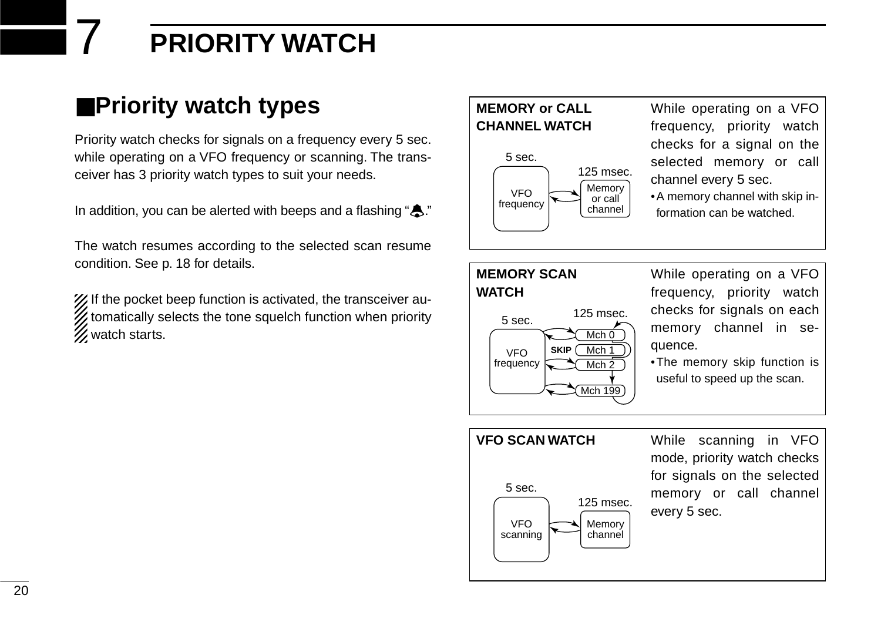## 7 **PRIORITY WATCH**

### ■**Priority watch types**

Priority watch checks for signals on a frequency every 5 sec. while operating on a VFO frequency or scanning. The transceiver has 3 priority watch types to suit your needs.

In addition, you can be alerted with beeps and a flashing " $\clubsuit$ ."

The watch resumes according to the selected scan resume condition. See p. 18 for details.

X If the pocket beep function is activated, the transceiver au- $\mathcal{U}$  tomatically selects the tone squelch function when priority **Z** watch starts.

#### **MEMORY or CALL CHANNEL WATCH**



5 sec. 125 msec.

**SKIP**

While operating on a VFO frequency, priority watch checks for a signal on the selected memory or call channel every 5 sec.

•A memory channel with skip information can be watched.

#### **MEMORY SCAN WATCH**

VFO frequency While operating on a VFO frequency, priority watch checks for signals on each memory channel in sequence.

•The memory skip function is useful to speed up the scan.

#### **VFO SCAN WATCH** While scanning in VFO mode, priority watch checks for signals on the selected memory or call channel every 5 sec. VFO scanning Memory channel 5 sec. 125 msec.

Mch<sub>1</sub>  $Mch<sub>0</sub>$ 

Mch<sub>2</sub> Mch 199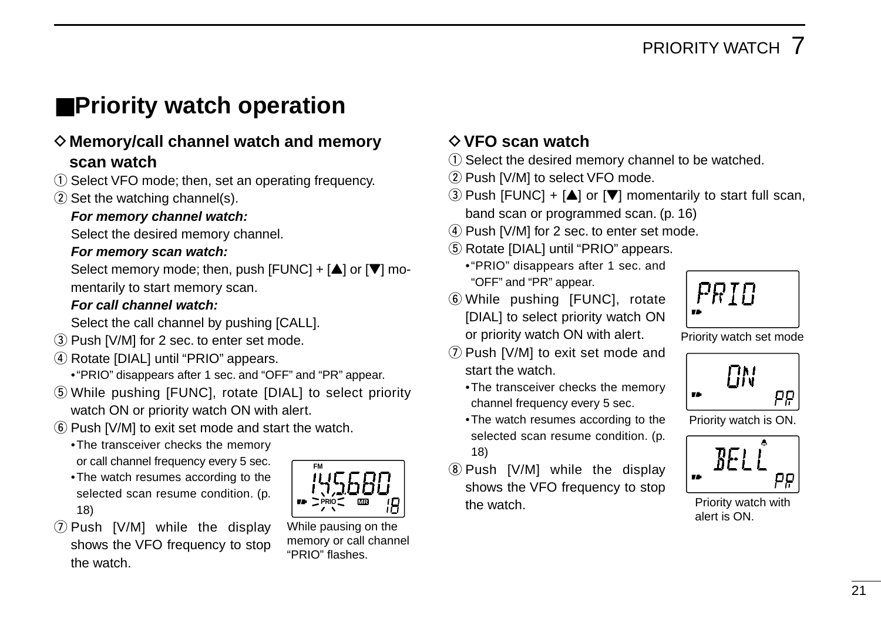### ■**Priority watch operation**

#### D**Memory/call channel watch and memory scan watch**

- $\Omega$  Select VFO mode; then, set an operating frequency.
- $(2)$  Set the watching channel(s).

#### **For memory channel watch:**

Select the desired memory channel.

#### **For memory scan watch:**

Select memory mode; then, push  $[FlNCl] + [\triangle]$  or  $[\nabla]$  momentarily to start memory scan.

#### **For call channel watch:**

Select the call channel by pushing [CALL].

- 3) Push [V/M] for 2 sec. to enter set mode.
- 4) Rotate [DIAL] until "PRIO" appears.
	- •"PRIO" disappears after 1 sec. and "OFF" and "PR" appear.
- (5) While pushing [FUNC], rotate [DIAL] to select priority watch ON or priority watch ON with alert.
- $\circled{6}$  Push [V/M] to exit set mode and start the watch.
	- •The transceiver checks the memory or call channel frequency every 5 sec.
	- •The watch resumes according to the selected scan resume condition. (p. 18)





While pausing on the memory or call channel "PRIO" flashes.

#### D**VFO scan watch**

- $\Omega$  Select the desired memory channel to be watched.
- (2) Push [V/M] to select VFO mode.
- $\overline{a}$ ) Push [FUNC] + [ $\triangle$ ] or [ $\nabla$ ] momentarily to start full scan, band scan or programmed scan. (p. 16)
- $\overline{a}$  Push [V/M] for 2 sec. to enter set mode.
- (5) Rotate [DIAL] until "PRIO" appears.
	- •"PRIO" disappears after 1 sec. and "OFF" and "PR" appear.
- $\odot$  While pushing [FUNC], rotate [DIAL] to select priority watch ON or priority watch ON with alert.

 $U$  Push [V/M] to exit set mode and

**8 Push [V/M] while the display** shows the VFO frequency to stop

•The transceiver checks the memory channel frequency every 5 sec. •The watch resumes according to the selected scan resume condition. (p.

start the watch.

18)

the watch.



Priority watch set mode



Priority watch is ON.



Priority watch with alert is ON.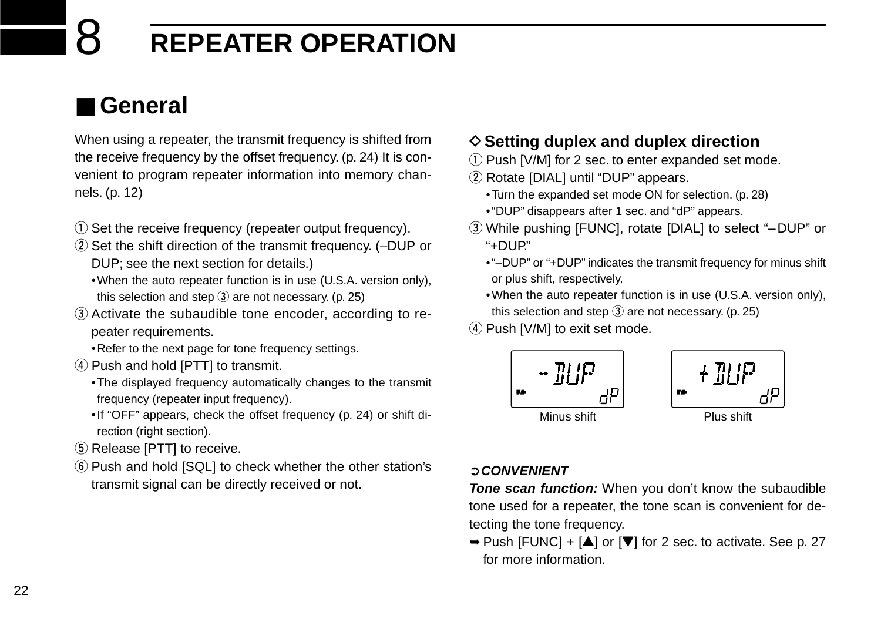### 8 **REPEATER OPERATION**

### ■ **General**

When using a repeater, the transmit frequency is shifted from the receive frequency by the offset frequency. (p. 24) It is convenient to program repeater information into memory channels. (p. 12)

- (1) Set the receive frequency (repeater output frequency).
- 2) Set the shift direction of the transmit frequency. (-DUP or DUP; see the next section for details.)
	- •When the auto repeater function is in use (U.S.A. version only), this selection and step  $\circled{3}$  are not necessary. (p. 25)
- 3) Activate the subaudible tone encoder, according to repeater requirements.
	- •Refer to the next page for tone frequency settings.
- 4) Push and hold [PTT] to transmit.
	- •The displayed frequency automatically changes to the transmit frequency (repeater input frequency).
	- •If "OFF" appears, check the offset frequency (p. 24) or shift direction (right section).
- (5) Release [PTT] to receive.
- (6) Push and hold [SQL] to check whether the other station's transmit signal can be directly received or not.

#### $\diamond$  Setting duplex and duplex direction

- $\Omega$  Push [V/M] for 2 sec. to enter expanded set mode.
- (2) Rotate [DIAL] until "DUP" appears.
	- •Turn the expanded set mode ON for selection. (p. 28)
	- •"DUP" disappears after 1 sec. and "dP" appears.
- e While pushing [FUNC], rotate [DIAL] to select "–DUP" or "+DUP."
	- •"–DUP" or "+DUP" indicates the transmit frequency for minus shift or plus shift, respectively.
	- •When the auto repeater function is in use (U.S.A. version only), this selection and step  $\overline{3}$  are not necessary. (p. 25)
- (4) Push [V/M] to exit set mode.



#### ➲**CONVENIENT**

**Tone scan function:** When you don't know the subaudible tone used for a repeater, the tone scan is convenient for detecting the tone frequency.

 $\rightarrow$  Push [FUNC] + [ $\triangle$ ] or [ $\nabla$ ] for 2 sec. to activate. See p. 27 for more information.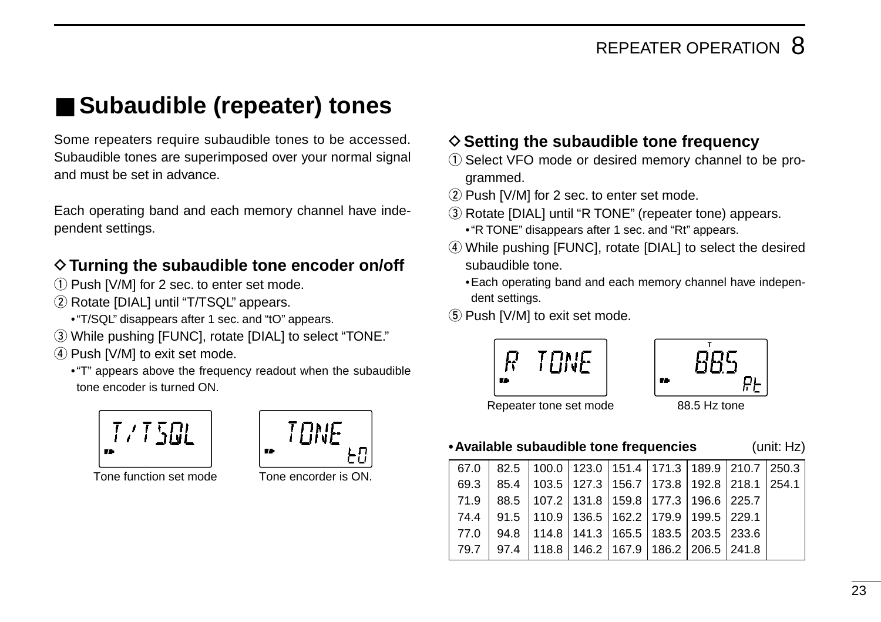### ■ Subaudible (repeater) tones

Some repeaters require subaudible tones to be accessed. Subaudible tones are superimposed over your normal signal and must be set in advance.

Each operating band and each memory channel have independent settings.

#### $\Diamond$  Turning the subaudible tone encoder on/off

- $(1)$  Push [V/M] for 2 sec. to enter set mode.
- (2) Rotate [DIAL] until "T/TSQL" appears.
	- •"T/SQL" disappears after 1 sec. and "tO" appears.
- e While pushing [FUNC], rotate [DIAL] to select "TONE."
- 4) Push [V/M] to exit set mode.
	- •"T" appears above the frequency readout when the subaudible tone encoder is turned ON.



Tone function set mode Tone encorder is ON.

TRNF 72

#### $\diamond$  Setting the subaudible tone frequency

- (1) Select VFO mode or desired memory channel to be programmed.
- $(2)$  Push [V/M] for 2 sec. to enter set mode.
- (3) Rotate [DIAL] until "R TONE" (repeater tone) appears. •"R TONE" disappears after 1 sec. and "Rt" appears.
- 4) While pushing [FUNC], rotate [DIAL] to select the desired subaudible tone.
	- •Each operating band and each memory channel have independent settings.
- (5) Push [V/M] to exit set mode.





Repeater tone set mode 88.5 Hz tone

#### **•Available subaudible tone frequencies** (unit: Hz)

|  | $67.0$   82.5   100.0   123.0   151.4   171.3   189.9   210.7   250.3 |  |  |  |
|--|-----------------------------------------------------------------------|--|--|--|
|  | 69.3 85.4 103.5 127.3 156.7 173.8 192.8 218.1 254.1                   |  |  |  |
|  | 71.9 88.5 107.2 131.8 159.8 177.3 196.6 225.7                         |  |  |  |
|  | 74.4   91.5   110.9   136.5   162.2   179.9   199.5   229.1           |  |  |  |
|  | 77.0 94.8 114.8 141.3 165.5 183.5 203.5 233.6                         |  |  |  |
|  | 79.7   97.4   118.8   146.2   167.9   186.2   206.5   241.8           |  |  |  |
|  |                                                                       |  |  |  |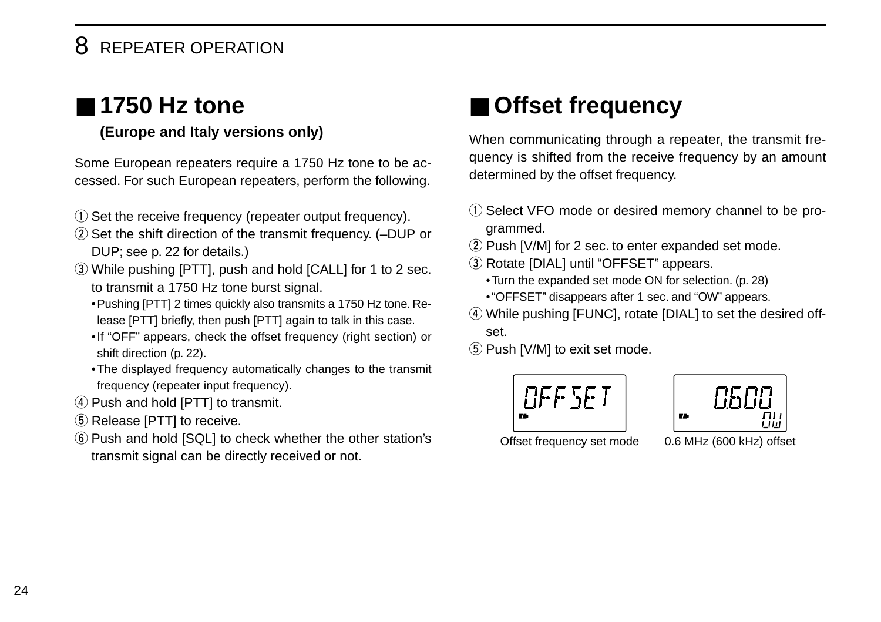### 8 REPEATER OPERATION

### ■ **1750 Hz tone**

#### **(Europe and Italy versions only)**

Some European repeaters require a 1750 Hz tone to be accessed. For such European repeaters, perform the following.

- (1) Set the receive frequency (repeater output frequency).
- 2) Set the shift direction of the transmit frequency. (-DUP or DUP; see p. 22 for details.)
- e While pushing [PTT], push and hold [CALL] for 1 to 2 sec. to transmit a 1750 Hz tone burst signal.
	- •Pushing [PTT] 2 times quickly also transmits a 1750 Hz tone. Release [PTT] briefly, then push [PTT] again to talk in this case.
	- •If "OFF" appears, check the offset frequency (right section) or shift direction (p. 22).
	- •The displayed frequency automatically changes to the transmit frequency (repeater input frequency).
- 4) Push and hold [PTT] to transmit.
- 5 Release [PTT] to receive.
- y Push and hold [SQL] to check whether the other station's transmit signal can be directly received or not.

### ■ **Offset frequency**

When communicating through a repeater, the transmit frequency is shifted from the receive frequency by an amount determined by the offset frequency.

- (1) Select VFO mode or desired memory channel to be programmed.
- $(2)$  Push [V/M] for 2 sec. to enter expanded set mode.
- 3 Rotate [DIAL] until "OFFSET" appears.
	- •Turn the expanded set mode ON for selection. (p. 28)
	- •"OFFSET" disappears after 1 sec. and "OW" appears.
- (4) While pushing [FUNC], rotate [DIAL] to set the desired offset.
- **5** Push [V/M] to exit set mode.





Offset frequency set mode 0.6 MHz (600 kHz) offset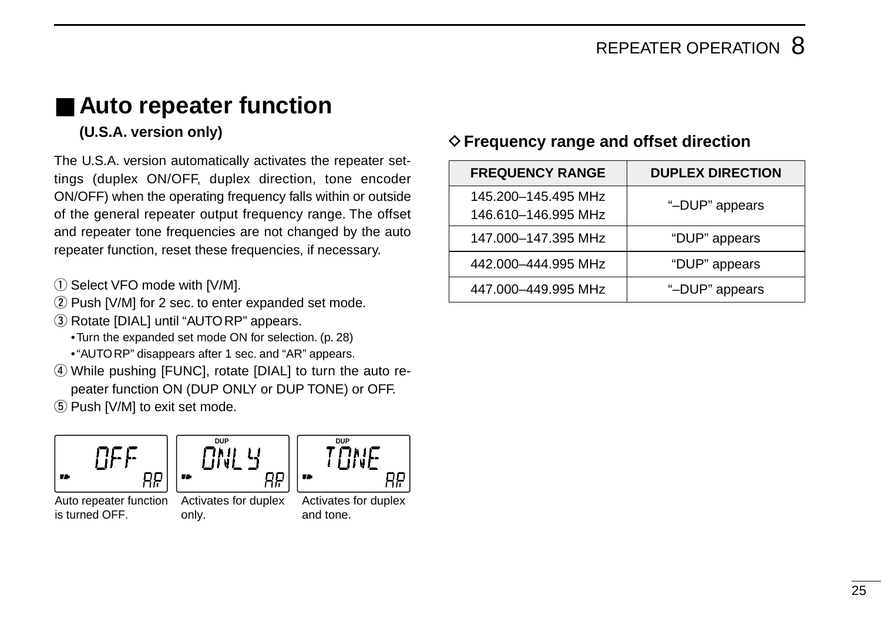### ■ **Auto repeater function**

#### **(U.S.A. version only)**

The U.S.A. version automatically activates the repeater settings (duplex ON/OFF, duplex direction, tone encoder ON/OFF) when the operating frequency falls within or outside of the general repeater output frequency range. The offset and repeater tone frequencies are not changed by the auto repeater function, reset these frequencies, if necessary.

- $\circled{1}$  Select VFO mode with [V/M].
- 2 Push [V/M] for 2 sec. to enter expanded set mode.
- **(3) Rotate [DIAL] until "AUTORP" appears.** 
	- •Turn the expanded set mode ON for selection. (p. 28)
	- •"AUTORP" disappears after 1 sec. and "AR" appears.
- 4) While pushing [FUNC], rotate [DIAL] to turn the auto repeater function ON (DUP ONLY or DUP TONE) or OFF.
- (5) Push [V/M] to exit set mode.







Auto repeater function is turned OFF.

Activates for duplex only.

Activates for duplex and tone.

#### D**Frequency range and offset direction**

| <b>FREQUENCY RANGE</b>                     | <b>DUPLEX DIRECTION</b> |
|--------------------------------------------|-------------------------|
| 145.200-145.495 MHz<br>146.610-146.995 MHz | "-DUP" appears          |
| 147.000-147.395 MHz                        | "DUP" appears           |
| 442.000-444.995 MHz                        | "DUP" appears           |
| 447.000-449.995 MHz                        | "-DUP" appears          |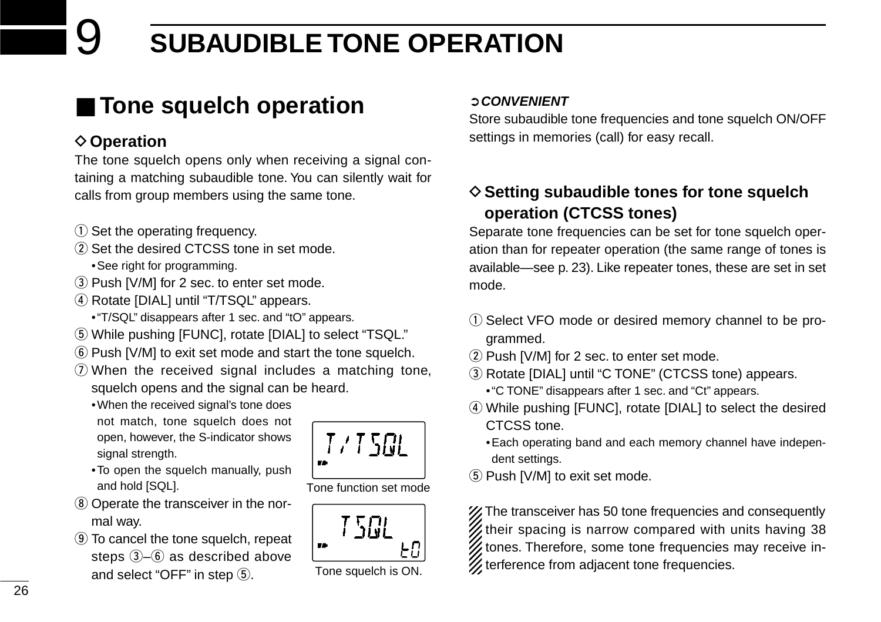# **SUBAUDIBLE TONE OPERATION**

### ■ **Tone squelch operation**

#### **♦ Operation**

The tone squelch opens only when receiving a signal containing a matching subaudible tone. You can silently wait for calls from group members using the same tone.

- $(1)$  Set the operating frequency.
- (2) Set the desired CTCSS tone in set mode.
	- •See right for programming.
- 3) Push [V/M] for 2 sec. to enter set mode.
- 4) Rotate [DIAL] until "T/TSQL" appears.
	- •"T/SQL" disappears after 1 sec. and "tO" appears.
- **5** While pushing [FUNC], rotate [DIAL] to select "TSQL."
- y Push [V/M] to exit set mode and start the tone squelch.
- $\Omega$  When the received signal includes a matching tone, squelch opens and the signal can be heard.
	- •When the received signal's tone does not match, tone squelch does not open, however, the S-indicator shows signal strength.
	- •To open the squelch manually, push and hold [SQL].
- <sup>8</sup> Operate the transceiver in the normal way.
- **9** To cancel the tone squelch, repeat steps  $(3-6)$  as described above and select "OFF" in step  $\circled{5}$ .

# 7 / 7 561

Tone function set mode



#### ➲**CONVENIENT**

Store subaudible tone frequencies and tone squelch ON/OFF settings in memories (call) for easy recall.

#### **♦ Setting subaudible tones for tone squelch operation (CTCSS tones)**

Separate tone frequencies can be set for tone squelch operation than for repeater operation (the same range of tones is available—see p. 23). Like repeater tones, these are set in set mode.

- q Select VFO mode or desired memory channel to be programmed.
- 2 Push [V/M] for 2 sec. to enter set mode.
- $(3)$  Rotate [DIAL] until "C TONE" (CTCSS tone) appears.
	- •"C TONE" disappears after 1 sec. and "Ct" appears.
- r While pushing [FUNC], rotate [DIAL] to select the desired CTCSS tone.
	- •Each operating band and each memory channel have independent settings.
- **5** Push [V/M] to exit set mode.

The transceiver has 50 tone frequencies and consequently their spacing is narrow compared with units having 38 tones. Therefore, some tone frequencies may receive in- $\overline{\mathcal{Z}}$  terference from adjacent tone frequencies.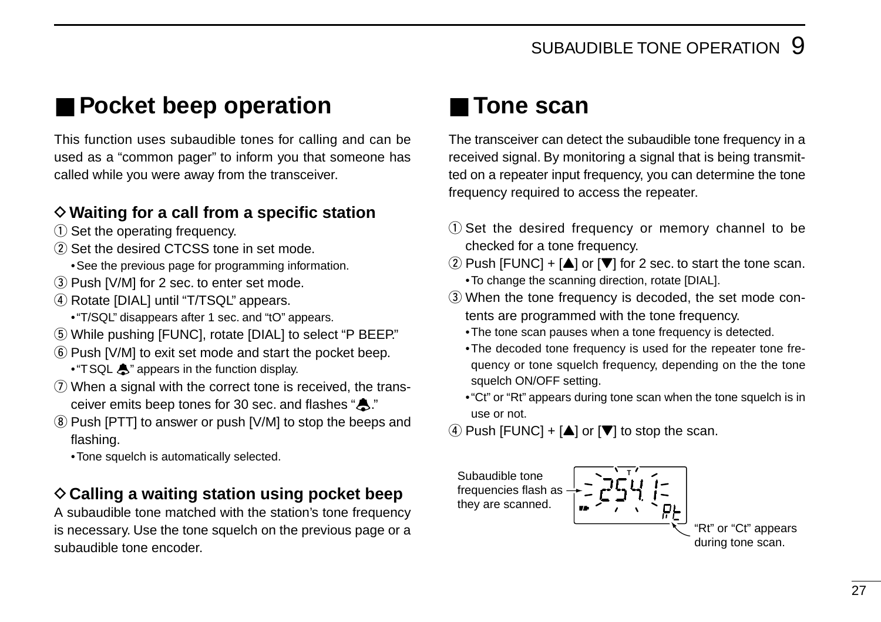### ■ **Pocket beep operation**

This function uses subaudible tones for calling and can be used as a "common pager" to inform you that someone has called while you were away from the transceiver.

#### D**Waiting for a call from a specific station**

- $(i)$  Set the operating frequency.
- (2) Set the desired CTCSS tone in set mode.
	- •See the previous page for programming information.
- 3) Push [V/M] for 2 sec. to enter set mode.
- 4) Rotate [DIAL] until "T/TSQL" appears.
	- •"T/SQL" disappears after 1 sec. and "tO" appears.
- **5** While pushing [FUNC], rotate [DIAL] to select "P BEEP."
- y Push [V/M] to exit set mode and start the pocket beep.
	- "TSQL  $\clubsuit$ " appears in the function display.
- $\overline{v}$  When a signal with the correct tone is received, the transceiver emits beep tones for 30 sec. and flashes " $\clubsuit$ ."
- $\circledR$  Push [PTT] to answer or push [V/M] to stop the beeps and flashing.
	- •Tone squelch is automatically selected.

#### **♦ Calling a waiting station using pocket beep**

A subaudible tone matched with the station's tone frequency is necessary. Use the tone squelch on the previous page or a subaudible tone encoder.

### ■ **Tone scan**

The transceiver can detect the subaudible tone frequency in a received signal. By monitoring a signal that is being transmitted on a repeater input frequency, you can determine the tone frequency required to access the repeater.

- $(1)$  Set the desired frequency or memory channel to be checked for a tone frequency.
- $\Omega$  Push [FUNC] + [ $\triangle$ ] or [ $\nabla$ ] for 2 sec. to start the tone scan. •To change the scanning direction, rotate [DIAL].
- 3) When the tone frequency is decoded, the set mode contents are programmed with the tone frequency.
	- •The tone scan pauses when a tone frequency is detected.
	- •The decoded tone frequency is used for the repeater tone frequency or tone squelch frequency, depending on the the tone squelch ON/OFF setting.
	- •"Ct" or "Rt" appears during tone scan when the tone squelch is in use or not.
- $\overline{4}$  Push [FUNC] + [ $\triangle$ ] or [ $\overline{V}$ ] to stop the scan.

Subaudible tone frequencies flash as they are scanned.

**T** "Rt" or "Ct" appears during tone scan.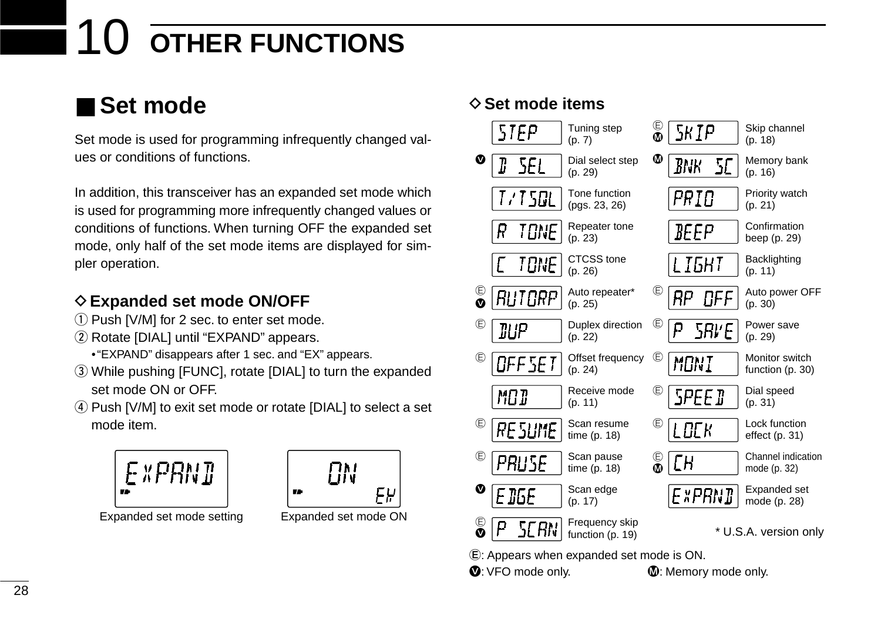# **OTHER FUNCTIONS**

### ■ **Set mode**

Set mode is used for programming infrequently changed values or conditions of functions.

In addition, this transceiver has an expanded set mode which is used for programming more infrequently changed values or conditions of functions. When turning OFF the expanded set mode, only half of the set mode items are displayed for simpler operation.

### **♦ Expanded set mode ON/OFF**

- $(i)$  Push [V/M] for 2 sec. to enter set mode.
- (2) Rotate [DIAL] until "EXPAND" appears.
	- •"EXPAND" disappears after 1 sec. and "EX" appears.
- e While pushing [FUNC], rotate [DIAL] to turn the expanded set mode ON or OFF.
- 4) Push [V/M] to exit set mode or rotate [DIAL] to select a set mode item.





Expanded set mode setting Expanded set mode ON

### **◇ Set mode items**



E: Appears when expanded set mode is ON.

 $\n **①**: VFO mode only. \n **①**: Memory mode only.$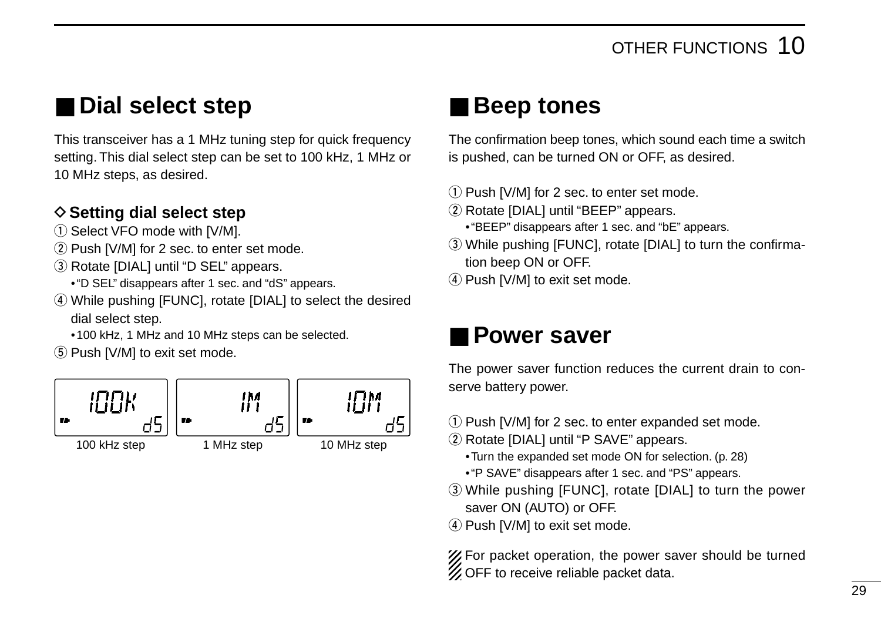### ■ **Dial select step**

This transceiver has a 1 MHz tuning step for quick frequency setting. This dial select step can be set to 100 kHz, 1 MHz or 10 MHz steps, as desired.

#### **♦ Setting dial select step**

- $(i)$  Select VFO mode with [V/M].
- $(2)$  Push [V/M] for 2 sec. to enter set mode.
- **(3) Rotate [DIAL] until "D SEL" appears.** 
	- •"D SEL" disappears after 1 sec. and "dS" appears.
- 4) While pushing [FUNC], rotate [DIAL] to select the desired dial select step.
	- •100 kHz, 1 MHz and 10 MHz steps can be selected.
- $(5)$  Push [V/M] to exit set mode.



### ■ **Beep tones**

The confirmation beep tones, which sound each time a switch is pushed, can be turned ON or OFF, as desired.

- 1) Push [V/M] for 2 sec. to enter set mode.
- 2 Rotate [DIAL] until "BEEP" appears.
	- •"BEEP" disappears after 1 sec. and "bE" appears.
- e While pushing [FUNC], rotate [DIAL] to turn the confirmation beep ON or OFF.
- $\overline{4}$  Push [V/M] to exit set mode.

### ■ **Power saver**

The power saver function reduces the current drain to conserve battery power.

- $(1)$  Push [V/M] for 2 sec. to enter expanded set mode.
- (2) Rotate [DIAL] until "P SAVE" appears.
	- •Turn the expanded set mode ON for selection. (p. 28)
	- •"P SAVE" disappears after 1 sec. and "PS" appears.
- e While pushing [FUNC], rotate [DIAL] to turn the power saver ON (AUTO) or OFF.
- $\overline{4}$  Push [V/M] to exit set mode.

For packet operation, the power saver should be turned **ZOFF** to receive reliable packet data.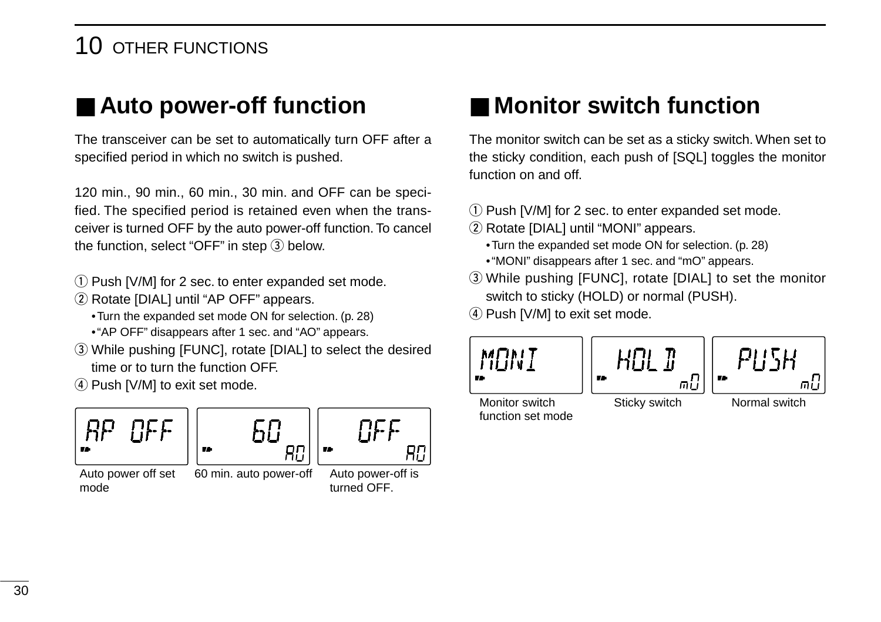### 10 OTHER FUNCTIONS

### ■ Auto power-off function

The transceiver can be set to automatically turn OFF after a specified period in which no switch is pushed.

120 min., 90 min., 60 min., 30 min. and OFF can be specified. The specified period is retained even when the transceiver is turned OFF by the auto power-off function. To cancel the function, select "OFF" in step  $(3)$  below.

- 1) Push [V/M] for 2 sec. to enter expanded set mode.
- (2) Rotate [DIAL] until "AP OFF" appears.
	- •Turn the expanded set mode ON for selection. (p. 28)
	- •"AP OFF" disappears after 1 sec. and "AO" appears.
- e While pushing [FUNC], rotate [DIAL] to select the desired time or to turn the function OFF.
- 4) Push [V/M] to exit set mode.





Auto power off set 60 min. auto power-off mode



Auto power-off is turned OFF.

### ■ Monitor switch function

The monitor switch can be set as a sticky switch. When set to the sticky condition, each push of [SQL] toggles the monitor function on and off.

- q Push [V/M] for 2 sec. to enter expanded set mode.
- (2) Rotate [DIAL] until "MONI" appears.
	- •Turn the expanded set mode ON for selection. (p. 28)
	- •"MONI" disappears after 1 sec. and "mO" appears.
- e While pushing [FUNC], rotate [DIAL] to set the monitor switch to sticky (HOLD) or normal (PUSH).
- 4) Push [V/M] to exit set mode.



function set mode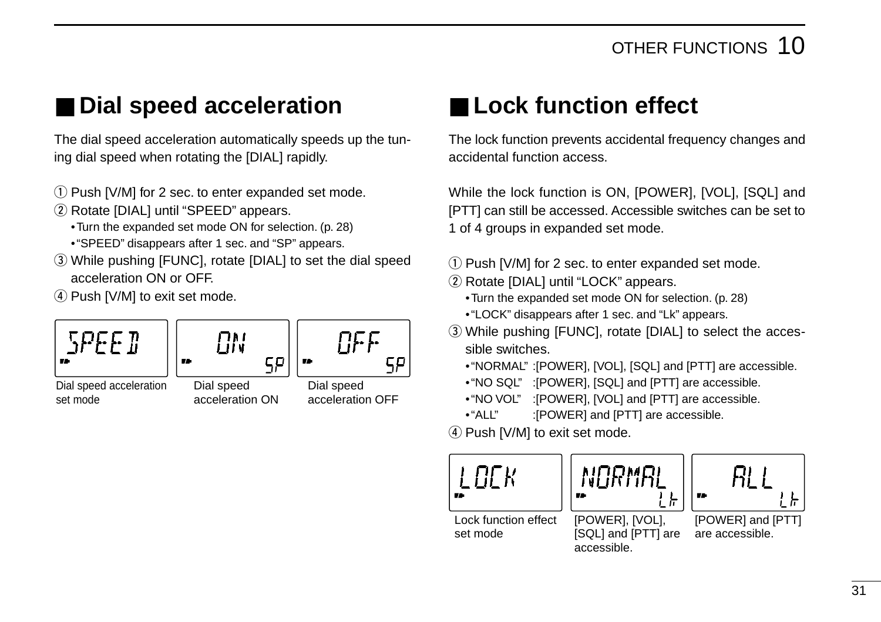### ■ **Dial speed acceleration**

The dial speed acceleration automatically speeds up the tuning dial speed when rotating the [DIAL] rapidly.

- 1) Push [V/M] for 2 sec. to enter expanded set mode.
- (2) Rotate [DIAL] until "SPEED" appears.
	- •Turn the expanded set mode ON for selection. (p. 28)
	- •"SPEED" disappears after 1 sec. and "SP" appears.
- e While pushing [FUNC], rotate [DIAL] to set the dial speed acceleration ON or OFF.

4) Push [V/M] to exit set mode.



### ■ Lock function effect

The lock function prevents accidental frequency changes and accidental function access.

While the lock function is ON, [POWER], [VOL], [SQL] and [PTT] can still be accessed. Accessible switches can be set to 1 of 4 groups in expanded set mode.

- $\Omega$  Push [V/M] for 2 sec. to enter expanded set mode.
- (2) Rotate [DIAL] until "LOCK" appears.
	- •Turn the expanded set mode ON for selection. (p. 28)
	- •"LOCK" disappears after 1 sec. and "Lk" appears.
- e While pushing [FUNC], rotate [DIAL] to select the accessible switches.
	- •"NORMAL" :[POWER], [VOL], [SQL] and [PTT] are accessible.
	- •"NO SQL" :[POWER], [SQL] and [PTT] are accessible.
	- •"NO VOL" :[POWER], [VOL] and [PTT] are accessible.
	- •"ALL" :[POWER] and [PTT] are accessible.

 $(4)$  Push [V/M] to exit set mode.

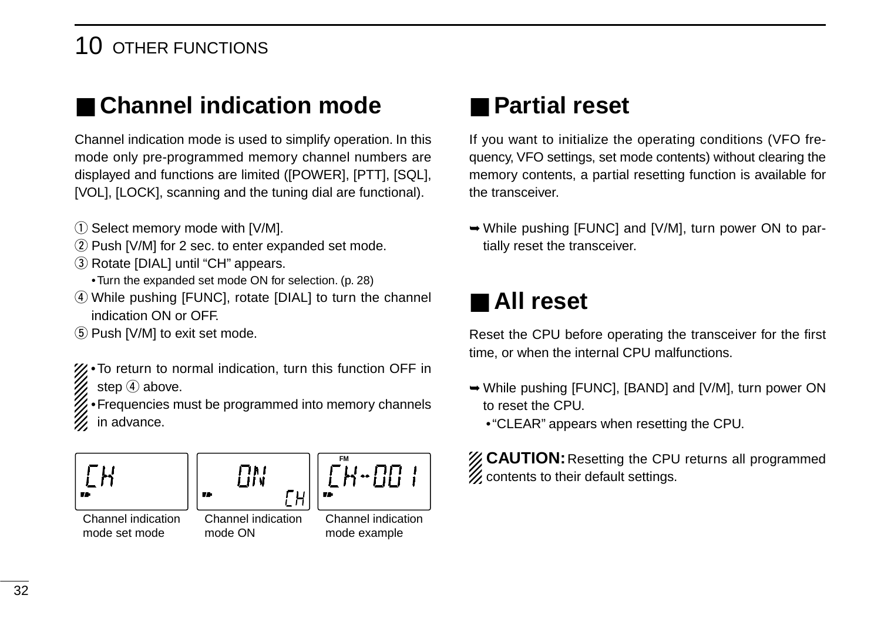### 10 OTHER FUNCTIONS

### ■ **Channel indication mode**

Channel indication mode is used to simplify operation. In this mode only pre-programmed memory channel numbers are displayed and functions are limited ([POWER], [PTT], [SQL], [VOL], [LOCK], scanning and the tuning dial are functional).

- 1) Select memory mode with [V/M].
- 2 Push [V/M] for 2 sec. to enter expanded set mode.
- 3) Rotate [DIAL] until "CH" appears.
	- •Turn the expanded set mode ON for selection. (p. 28)
- (4) While pushing [FUNC], rotate [DIAL] to turn the channel indication ON or OFF.
- (5) Push [V/M] to exit set mode.

•To return to normal indication, turn this function OFF in step  $\overline{4}$  above.

•Frequencies must be programmed into memory channels in advance.







Channel indication mode set mode

Channel indication mode ON



### ■ **Partial reset**

If you want to initialize the operating conditions (VFO frequency, VFO settings, set mode contents) without clearing the memory contents, a partial resetting function is available for the transceiver.

➥While pushing [FUNC] and [V/M], turn power ON to partially reset the transceiver.

### ■ **All reset**

Reset the CPU before operating the transceiver for the first time, or when the internal CPU malfunctions.

- ➥While pushing [FUNC], [BAND] and [V/M], turn power ON to reset the CPU.
	- •"CLEAR" appears when resetting the CPU.

**ZZ CAUTION:** Resetting the CPU returns all programmed  $\mathcal Z$  contents to their default settings.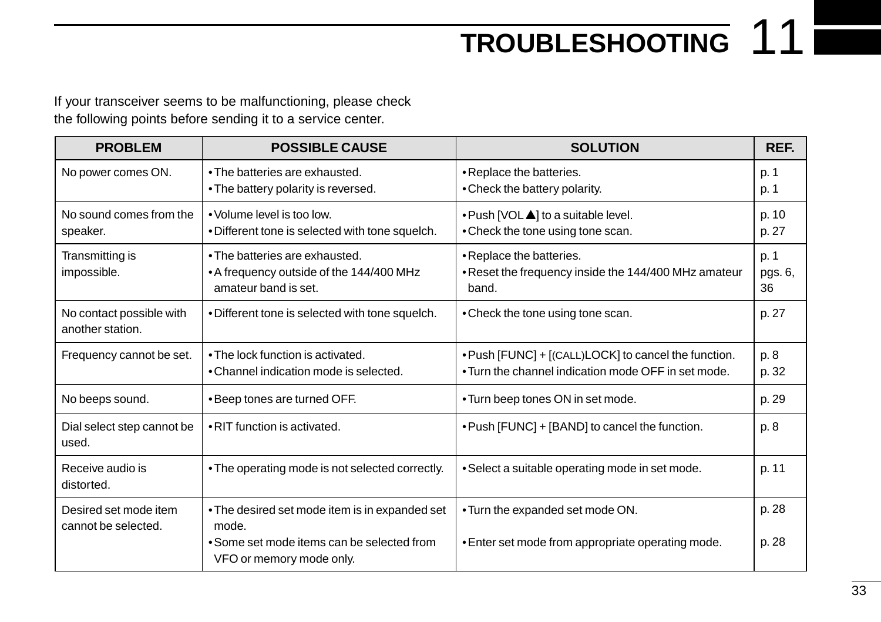**TROUBLESHOOTING** 11

If your transceiver seems to be malfunctioning, please check the following points before sending it to a service center.

| <b>PROBLEM</b>                               | <b>POSSIBLE CAUSE</b>                                                                                                             | <b>SOLUTION</b>                                                                                             | REF.                  |
|----------------------------------------------|-----------------------------------------------------------------------------------------------------------------------------------|-------------------------------------------------------------------------------------------------------------|-----------------------|
| No power comes ON.                           | • The batteries are exhausted.<br>• The battery polarity is reversed.                                                             | • Replace the batteries.<br>• Check the battery polarity.                                                   | p. 1<br>p. 1          |
| No sound comes from the<br>speaker.          | • Volume level is too low.<br>.Different tone is selected with tone squelch.                                                      | • Push [VOL 4] to a suitable level.<br>• Check the tone using tone scan.                                    | p. 10<br>p. 27        |
| Transmitting is<br>impossible.               | • The batteries are exhausted.<br>• A frequency outside of the 144/400 MHz<br>amateur band is set.                                | • Replace the batteries.<br>. Reset the frequency inside the 144/400 MHz amateur<br>band.                   | p. 1<br>pgs. 6,<br>36 |
| No contact possible with<br>another station. | . Different tone is selected with tone squelch.                                                                                   | • Check the tone using tone scan.                                                                           | p. 27                 |
| Frequency cannot be set.                     | • The lock function is activated.<br>• Channel indication mode is selected.                                                       | . Push [FUNC] + [(CALL)LOCK] to cancel the function.<br>• Turn the channel indication mode OFF in set mode. | p. 8<br>p. 32         |
| No beeps sound.                              | •Beep tones are turned OFF.                                                                                                       | • Turn beep tones ON in set mode.                                                                           | p. 29                 |
| Dial select step cannot be<br>used.          | . RIT function is activated.                                                                                                      | . Push [FUNC] + [BAND] to cancel the function.                                                              | p. 8                  |
| Receive audio is<br>distorted.               | • The operating mode is not selected correctly.                                                                                   | • Select a suitable operating mode in set mode.                                                             | p. 11                 |
| Desired set mode item<br>cannot be selected. | • The desired set mode item is in expanded set<br>mode.<br>• Some set mode items can be selected from<br>VFO or memory mode only. | . Turn the expanded set mode ON.<br>• Enter set mode from appropriate operating mode.                       | p. 28<br>p. 28        |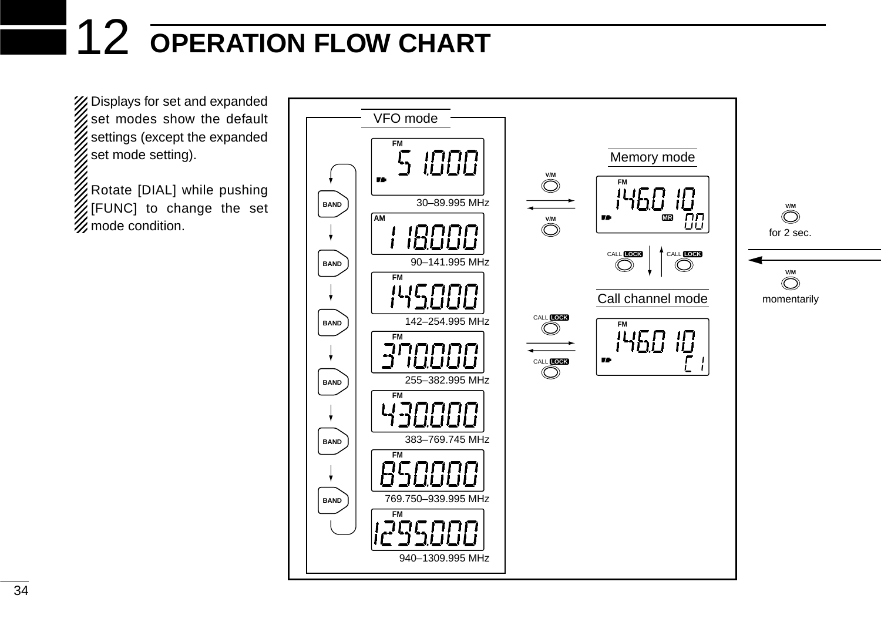# 12 **OPERATION FLOW CHART**

X Displays for set and expanded  $\mathscr{U}$  set modes show the default settings (except the expanded set mode setting).

Rotate [DIAL] while pushing [FUNC] to change the set  $\mathbb Z$  mode condition.

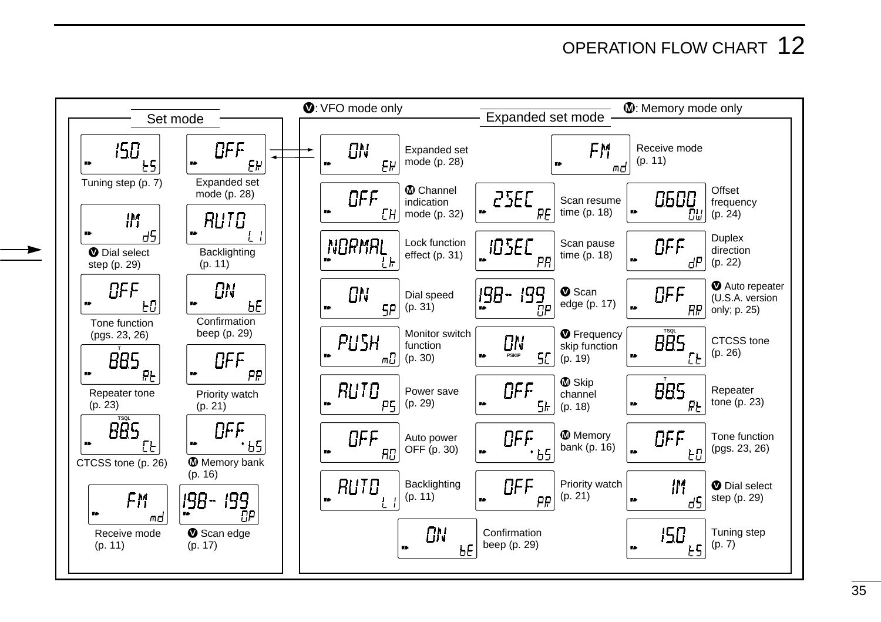### OPERATION FLOW CHART 12

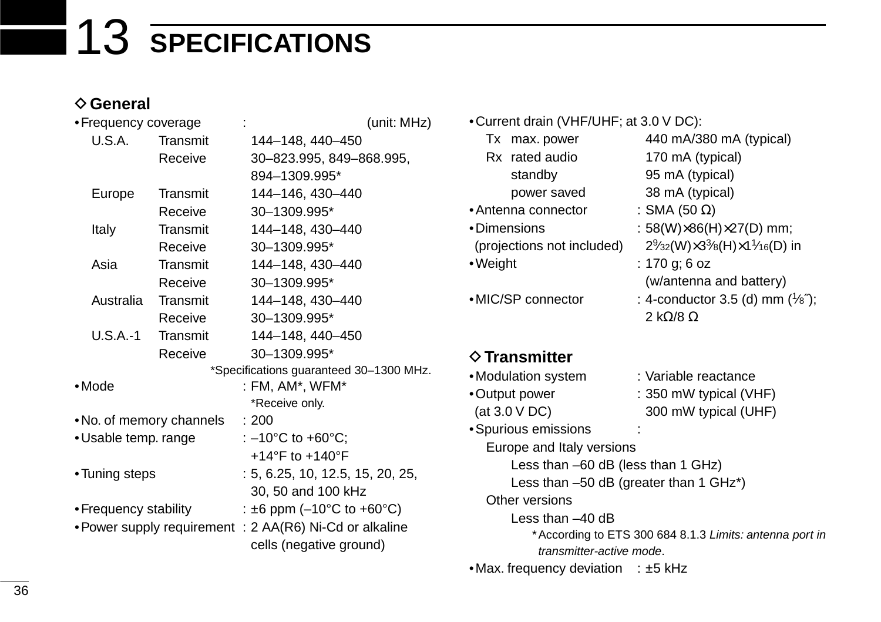# 13 **SPECIFICATIONS**

#### **♦ General**

|                       | • Frequency coverage |                          | (unit: MHz)                                             |  |  |
|-----------------------|----------------------|--------------------------|---------------------------------------------------------|--|--|
| U.S.A.<br>Transmit    |                      |                          | 144-148, 440-450                                        |  |  |
| Receive               |                      |                          | 30-823.995, 849-868.995,                                |  |  |
|                       |                      |                          | 894-1309.995*                                           |  |  |
|                       | Europe               | Transmit                 | 144-146, 430-440                                        |  |  |
|                       |                      | Receive                  | 30-1309.995*                                            |  |  |
|                       | Italy                | Transmit                 | 144-148, 430-440                                        |  |  |
|                       |                      | Receive                  | 30-1309.995*                                            |  |  |
|                       | Asia                 | Transmit                 | 144-148, 430-440                                        |  |  |
|                       |                      | Receive                  | 30-1309.995*                                            |  |  |
|                       | Australia            | Transmit                 | 144-148, 430-440                                        |  |  |
|                       |                      | Receive                  | 30-1309.995*                                            |  |  |
|                       | $U.S.A.-1$           | Transmit                 | 144-148.440-450                                         |  |  |
|                       |                      | Receive                  | 30-1309.995*                                            |  |  |
|                       |                      |                          | *Specifications guaranteed 30-1300 MHz.                 |  |  |
| •Mode                 |                      |                          | : FM, AM*, WFM*                                         |  |  |
|                       |                      |                          | *Receive only.                                          |  |  |
|                       |                      | • No. of memory channels | : 200                                                   |  |  |
| •Usable temp. range   |                      |                          | : $-10^{\circ}$ C to +60 $^{\circ}$ C;                  |  |  |
|                       |                      |                          | +14°F to +140°F                                         |  |  |
| •Tuning steps         |                      |                          | : 5, 6.25, 10, 12.5, 15, 20, 25,                        |  |  |
|                       |                      |                          | 30, 50 and 100 kHz                                      |  |  |
| • Frequency stability |                      |                          | : $\pm 6$ ppm (-10°C to +60°C)                          |  |  |
|                       |                      |                          | • Power supply requirement : 2 AA(R6) Ni-Cd or alkaline |  |  |
|                       |                      |                          | cells (negative ground)                                 |  |  |

- •Current drain (VHF/UHF; at 3.0 V DC):
	- Rx rated audio 170 mA (typical) standby 95 mA (typical) power saved 38 mA (typical)
- •Antenna connector : SMA (50  $\Omega$ )
- •Dimensions : 58(W)×86(H)×27(D) mm;
- 
- 
- Tx max. power 440 mA/380 mA (typical) (projections not included)  $2\frac{9}{32}$ (W) $\times$ 3 $\frac{3}{6}$ (H) $\times$ 1 $\frac{1}{16}$ (D) in •Weight : 170 g; 6 oz (w/antenna and battery)
- •MIC/SP connector : 4-conductor 3.5 (d) mm  $(\frac{1}{8})$ ; 2 kΩ/8 Ω

#### D**Transmitter**

- •Modulation system : Variable reactance
- 
- •Output power : 350 mW typical (VHF)  $(at 3.0 V DC)$  300 mW typical (UHF)
- •Spurious emissions :
- Europe and Italy versions
	- Less than –60 dB (less than 1 GHz)
	- Less than –50 dB (greater than 1 GHz\*)
- Other versions
	- Less than –40 dB
		- \*According to ETS 300 684 8.1.3 Limits: antenna port in transmitter-active mode.
- Max. frequency deviation  $\pm$  5 kHz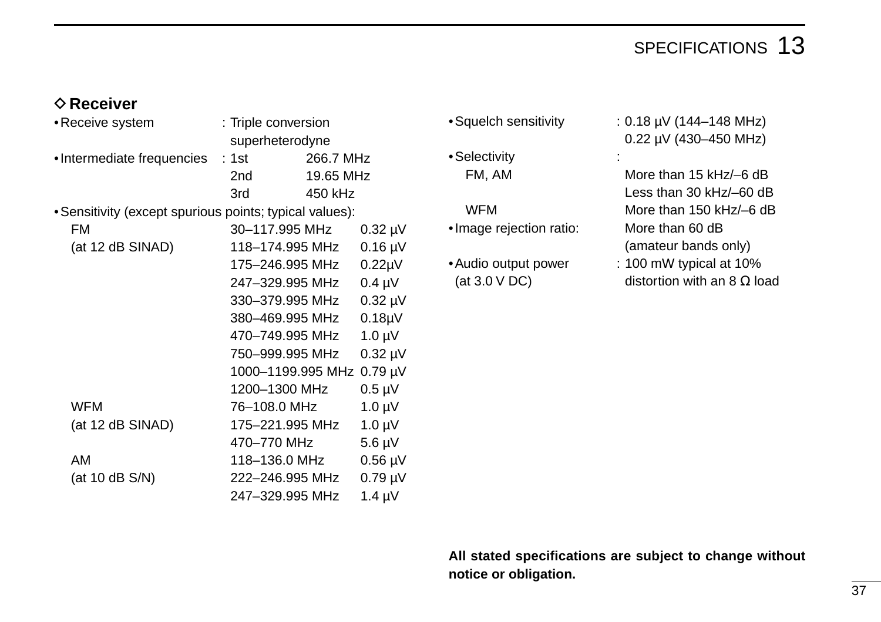### SPECIFICATIONS 13

#### $♦$  **Receiver**

| • Receive system                                        |  | : Triple conversion |           |                     |  |
|---------------------------------------------------------|--|---------------------|-----------|---------------------|--|
|                                                         |  | superheterodyne     |           |                     |  |
| •Intermediate frequencies                               |  | : 1st ________      | 266.7 MHz |                     |  |
|                                                         |  | 2nd                 | 19.65 MHz |                     |  |
|                                                         |  | 3rd                 | 450 kHz   |                     |  |
| • Sensitivity (except spurious points; typical values): |  |                     |           |                     |  |
| FM                                                      |  | 30–117.995 MHz      |           | $0.32 \mu V$        |  |
| (at 12 dB SINAD)                                        |  | 118–174.995 MHz     |           | $0.16 \mu V$        |  |
|                                                         |  | 175–246.995 MHz     |           | $0.22 \mu V$        |  |
|                                                         |  | 247–329.995 MHz     |           | $0.4 \mu V$         |  |
|                                                         |  | 330–379.995 MHz     |           | $0.32 \mu V$        |  |
|                                                         |  | 380–469.995 MHz     |           | 0.18 <sub>µ</sub> V |  |
|                                                         |  | 470–749.995 MHz     |           | $1.0 \mu V$         |  |
|                                                         |  | 750-999.995 MHz     |           | $0.32 \mu V$        |  |
|                                                         |  | 1000-1199.995 MHz   |           | $0.79 \mu V$        |  |
|                                                         |  | 1200-1300 MHz       |           | $0.5 \mu V$         |  |
| <b>WFM</b>                                              |  | 76-108.0 MHz        |           | $1.0 \mu V$         |  |
| (at 12 dB SINAD)                                        |  | 175–221.995 MHz     |           | $1.0 \mu V$         |  |
|                                                         |  | 470–770 MHz         |           | $5.6 \mu V$         |  |
| AM                                                      |  | 118–136.0 MHz       |           | $0.56 \mu V$        |  |
| (at 10 dB S/N)                                          |  | 222–246.995 MHz     |           | $0.79 \mu V$        |  |
|                                                         |  | 247-329.995 MHz     |           | $1.4 \mu V$         |  |

- 
- •Selectivity :

- •Image rejection ratio: More than 60 dB
- 
- •Squelch sensitivity : 0.18 µV (144–148 MHz) 0.22 µV (430–450 MHz)
	- FM, AM More than 15 kHz/-6 dB Less than 30 kHz/–60 dB WFM More than 150 kHz/-6 dB (amateur bands only)
- •Audio output power : 100 mW typical at 10% (at 3.0 V DC) distortion with an 8  $\Omega$  load

**All stated specifications are subject to change without notice or obligation.**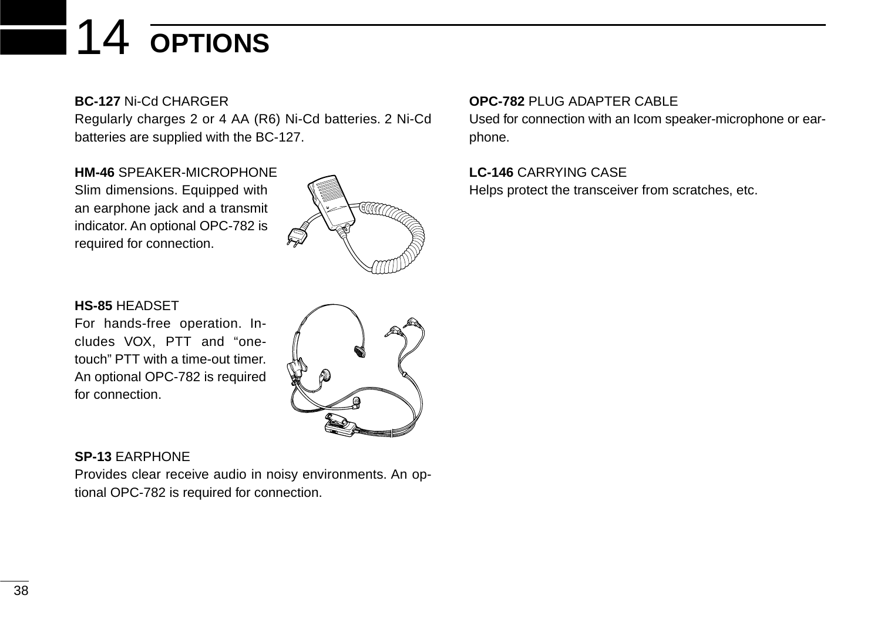# 14 **OPTIONS**

**BC-127** Ni-Cd CHARGER

Regularly charges 2 or 4 AA (R6) Ni-Cd batteries. 2 Ni-Cd batteries are supplied with the BC-127.

**HM-46** SPEAKER-MICROPHONE Slim dimensions. Equipped with an earphone jack and a transmit indicator. An optional OPC-782 is required for connection.



#### **HS-85** HEADSET

For hands-free operation. Includes VOX, PTT and "onetouch" PTT with a time-out timer. An optional OPC-782 is required for connection.

#### **SP-13** EARPHONE

Provides clear receive audio in noisy environments. An optional OPC-782 is required for connection.

#### **OPC-782** PLUG ADAPTER CABLE

Used for connection with an Icom speaker-microphone or earphone.

**LC-146** CARRYING CASE Helps protect the transceiver from scratches, etc.